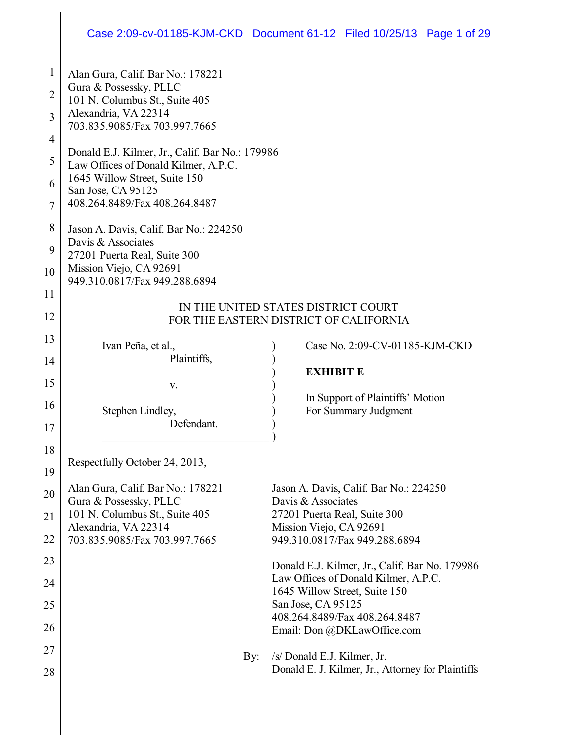# Case 2:09-cv-01185-KJM-CKD Document 61-12 Filed 10/25/13 Page 1 of 29

| 1<br>$\overline{2}$<br>3<br>4<br>5<br>6<br>7<br>8 | Alan Gura, Calif. Bar No.: 178221<br>Gura & Possessky, PLLC<br>101 N. Columbus St., Suite 405<br>Alexandria, VA 22314<br>703.835.9085/Fax 703.997.7665<br>Donald E.J. Kilmer, Jr., Calif. Bar No.: 179986<br>Law Offices of Donald Kilmer, A.P.C.<br>1645 Willow Street, Suite 150<br>San Jose, CA 95125<br>408.264.8489/Fax 408.264.8487<br>Jason A. Davis, Calif. Bar No.: 224250 |                                                                                                                         |
|---------------------------------------------------|-------------------------------------------------------------------------------------------------------------------------------------------------------------------------------------------------------------------------------------------------------------------------------------------------------------------------------------------------------------------------------------|-------------------------------------------------------------------------------------------------------------------------|
| 9<br>10                                           | Davis & Associates<br>27201 Puerta Real, Suite 300<br>Mission Viejo, CA 92691<br>949.310.0817/Fax 949.288.6894                                                                                                                                                                                                                                                                      |                                                                                                                         |
| 11<br>12                                          |                                                                                                                                                                                                                                                                                                                                                                                     | IN THE UNITED STATES DISTRICT COURT<br>FOR THE EASTERN DISTRICT OF CALIFORNIA                                           |
| 13<br>14                                          | Ivan Peña, et al.,<br>Plaintiffs,                                                                                                                                                                                                                                                                                                                                                   | Case No. 2:09-CV-01185-KJM-CKD                                                                                          |
| 15<br>16<br>17                                    | V.<br>Stephen Lindley,<br>Defendant.                                                                                                                                                                                                                                                                                                                                                | <b>EXHIBIT E</b><br>In Support of Plaintiffs' Motion<br>For Summary Judgment                                            |
| 18<br>19                                          | Respectfully October 24, 2013,                                                                                                                                                                                                                                                                                                                                                      |                                                                                                                         |
| 20<br>21                                          | Alan Gura, Calif. Bar No.: 178221<br>Gura & Possessky, PLLC<br>101 N. Columbus St., Suite 405<br>Alexandria, VA 22314                                                                                                                                                                                                                                                               | Jason A. Davis, Calif. Bar No.: 224250<br>Davis & Associates<br>27201 Puerta Real, Suite 300<br>Mission Viejo, CA 92691 |
| 22                                                | 703.835.9085/Fax 703.997.7665                                                                                                                                                                                                                                                                                                                                                       | 949.310.0817/Fax 949.288.6894                                                                                           |
| 23<br>24                                          |                                                                                                                                                                                                                                                                                                                                                                                     | Donald E.J. Kilmer, Jr., Calif. Bar No. 179986<br>Law Offices of Donald Kilmer, A.P.C.                                  |
| 25                                                |                                                                                                                                                                                                                                                                                                                                                                                     | 1645 Willow Street, Suite 150<br>San Jose, CA 95125                                                                     |
| 26                                                |                                                                                                                                                                                                                                                                                                                                                                                     | 408.264.8489/Fax 408.264.8487<br>Email: Don @DKLawOffice.com                                                            |
| 27<br>28                                          | By:                                                                                                                                                                                                                                                                                                                                                                                 | /s/ Donald E.J. Kilmer, Jr.<br>Donald E. J. Kilmer, Jr., Attorney for Plaintiffs                                        |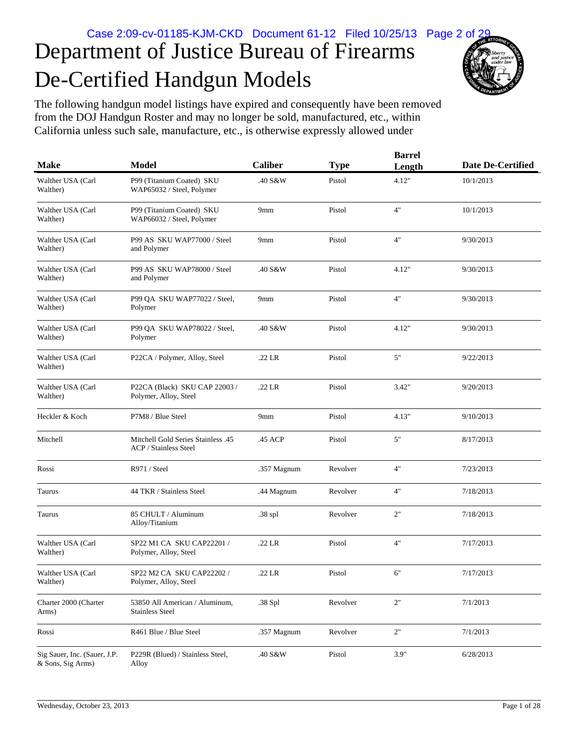# De-Certified Handgun Models Department of Justice Bureau of Firearms



The following handgun model listings have expired and consequently have been removed from the DOJ Handgun Roster and may no longer be sold, manufactured, etc., within California unless such sale, manufacture, etc., is otherwise expressly allowed under

| <b>Make</b>                                       | <b>Model</b>                                                              | <b>Caliber</b> | <b>Type</b> | <b>Barrel</b><br>Length | <b>Date De-Certified</b> |
|---------------------------------------------------|---------------------------------------------------------------------------|----------------|-------------|-------------------------|--------------------------|
| Walther USA (Carl<br>Walther)                     | P99 (Titanium Coated) SKU<br>WAP65032 / Steel, Polymer                    | .40 S&W        | Pistol      | 4.12"                   | 10/1/2013                |
| Walther USA (Carl<br>Walther)                     | P99 (Titanium Coated) SKU<br>WAP66032 / Steel, Polymer                    | 9mm            | Pistol      | 4"                      | 10/1/2013                |
| Walther USA (Carl<br>Walther)                     | P99 AS SKU WAP77000 / Steel<br>and Polymer                                | 9mm            | Pistol      | 4"                      | 9/30/2013                |
| Walther USA (Carl<br>Walther)                     | P99 AS SKU WAP78000 / Steel<br>and Polymer                                | .40 S&W        | Pistol      | 4.12"                   | 9/30/2013                |
| Walther USA (Carl<br>Walther)                     | P99 QA SKU WAP77022 / Steel,<br>Polymer                                   | 9mm            | Pistol      | 4"                      | 9/30/2013                |
| Walther USA (Carl<br>Walther)                     | P99 QA SKU WAP78022 / Steel,<br>Polymer                                   | .40 S&W        | Pistol      | 4.12"                   | 9/30/2013                |
| Walther USA (Carl<br>Walther)                     | P22CA / Polymer, Alloy, Steel                                             | .22 LR         | Pistol      | 5"                      | 9/22/2013                |
| Walther USA (Carl<br>Walther)                     | P22CA (Black) SKU CAP 22003 /<br>Polymer, Alloy, Steel                    | .22 LR         | Pistol      | 3.42"                   | 9/20/2013                |
| Heckler & Koch                                    | P7M8 / Blue Steel                                                         | 9mm            | Pistol      | 4.13"                   | 9/10/2013                |
| Mitchell                                          | <b>Mitchell Gold Series Stainless .45</b><br><b>ACP</b> / Stainless Steel | .45 ACP        | Pistol      | 5"                      | 8/17/2013                |
| Rossi                                             | R971 / Steel                                                              | .357 Magnum    | Revolver    | 4"                      | 7/23/2013                |
| Taurus                                            | 44 TKR / Stainless Steel                                                  | .44 Magnum     | Revolver    | 4"                      | 7/18/2013                |
| Taurus                                            | 85 CHULT / Aluminum<br>Alloy/Titanium                                     | .38 spl        | Revolver    | 2"                      | 7/18/2013                |
| Walther USA (Carl<br>Walther)                     | SP22 M1 CA SKU CAP22201 /<br>Polymer, Alloy, Steel                        | .22 LR         | Pistol      | 4"                      | 7/17/2013                |
| Walther USA (Carl<br>Walther)                     | SP22 M2 CA SKU CAP22202 /<br>Polymer, Alloy, Steel                        | .22 LR         | Pistol      | 6"                      | 7/17/2013                |
| Charter 2000 (Charter<br>Arms)                    | 53850 All American / Aluminum,<br><b>Stainless Steel</b>                  | .38 Spl        | Revolver    | $2"$                    | 7/1/2013                 |
| Rossi                                             | R461 Blue / Blue Steel                                                    | .357 Magnum    | Revolver    | 2"                      | 7/1/2013                 |
| Sig Sauer, Inc. (Sauer, J.P.<br>& Sons, Sig Arms) | P229R (Blued) / Stainless Steel,<br>Alloy                                 | .40 S&W        | Pistol      | 3.9"                    | 6/28/2013                |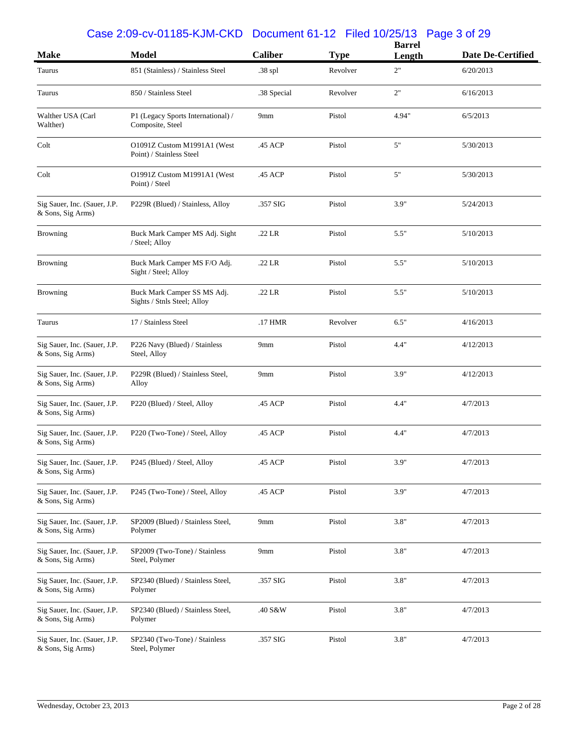#### Case 2:09-cv-01185-KJM-CKD Document 61-12 Filed 10/25/13 Page 3 of 29

| <b>Make</b>                                       | <b>Model</b>                                               | <b>Caliber</b> | <b>Type</b> | <b>Barrel</b><br>Length | Date De-Certified |
|---------------------------------------------------|------------------------------------------------------------|----------------|-------------|-------------------------|-------------------|
| Taurus                                            | 851 (Stainless) / Stainless Steel                          | .38 spl        | Revolver    | 2"                      | 6/20/2013         |
| Taurus                                            | 850 / Stainless Steel                                      | .38 Special    | Revolver    | 2"                      | 6/16/2013         |
| Walther USA (Carl<br>Walther)                     | P1 (Legacy Sports International) /<br>Composite, Steel     | 9mm            | Pistol      | 4.94"                   | 6/5/2013          |
| Colt                                              | O1091Z Custom M1991A1 (West<br>Point) / Stainless Steel    | .45 ACP        | Pistol      | 5"                      | 5/30/2013         |
| Colt                                              | O1991Z Custom M1991A1 (West<br>Point) / Steel              | .45 ACP        | Pistol      | 5"                      | 5/30/2013         |
| Sig Sauer, Inc. (Sauer, J.P.<br>& Sons, Sig Arms) | P229R (Blued) / Stainless, Alloy                           | .357 SIG       | Pistol      | 3.9"                    | 5/24/2013         |
| <b>Browning</b>                                   | Buck Mark Camper MS Adj. Sight<br>/ Steel; Alloy           | $.22$ LR       | Pistol      | 5.5"                    | 5/10/2013         |
| <b>Browning</b>                                   | Buck Mark Camper MS F/O Adj.<br>Sight / Steel; Alloy       | .22 LR         | Pistol      | 5.5"                    | 5/10/2013         |
| <b>Browning</b>                                   | Buck Mark Camper SS MS Adj.<br>Sights / Stnls Steel; Alloy | $.22$ LR       | Pistol      | 5.5"                    | 5/10/2013         |
| Taurus                                            | 17 / Stainless Steel                                       | .17 HMR        | Revolver    | 6.5"                    | 4/16/2013         |
| Sig Sauer, Inc. (Sauer, J.P.<br>& Sons, Sig Arms) | P226 Navy (Blued) / Stainless<br>Steel, Alloy              | 9mm            | Pistol      | 4.4"                    | 4/12/2013         |
| Sig Sauer, Inc. (Sauer, J.P.<br>& Sons, Sig Arms) | P229R (Blued) / Stainless Steel,<br>Alloy                  | 9mm            | Pistol      | 3.9"                    | 4/12/2013         |
| Sig Sauer, Inc. (Sauer, J.P.<br>& Sons, Sig Arms) | P220 (Blued) / Steel, Alloy                                | .45 ACP        | Pistol      | 4.4"                    | 4/7/2013          |
| Sig Sauer, Inc. (Sauer, J.P.<br>& Sons, Sig Arms) | P220 (Two-Tone) / Steel, Alloy                             | .45 ACP        | Pistol      | 4.4"                    | 4/7/2013          |
| Sig Sauer, Inc. (Sauer, J.P.<br>& Sons, Sig Arms) | P245 (Blued) / Steel, Alloy                                | .45 ACP        | Pistol      | 3.9"                    | 4/7/2013          |
| Sig Sauer, Inc. (Sauer, J.P.<br>& Sons, Sig Arms) | P245 (Two-Tone) / Steel, Alloy                             | .45 ACP        | Pistol      | 3.9"                    | 4/7/2013          |
| Sig Sauer, Inc. (Sauer, J.P.<br>& Sons, Sig Arms) | SP2009 (Blued) / Stainless Steel,<br>Polymer               | 9mm            | Pistol      | 3.8"                    | 4/7/2013          |
| Sig Sauer, Inc. (Sauer, J.P.<br>& Sons, Sig Arms) | SP2009 (Two-Tone) / Stainless<br>Steel, Polymer            | 9mm            | Pistol      | 3.8"                    | 4/7/2013          |
| Sig Sauer, Inc. (Sauer, J.P.<br>& Sons, Sig Arms) | SP2340 (Blued) / Stainless Steel,<br>Polymer               | .357 SIG       | Pistol      | 3.8"                    | 4/7/2013          |
| Sig Sauer, Inc. (Sauer, J.P.<br>& Sons, Sig Arms) | SP2340 (Blued) / Stainless Steel,<br>Polymer               | .40 S&W        | Pistol      | 3.8"                    | 4/7/2013          |
| Sig Sauer, Inc. (Sauer, J.P.<br>& Sons, Sig Arms) | SP2340 (Two-Tone) / Stainless<br>Steel, Polymer            | .357 SIG       | Pistol      | 3.8"                    | 4/7/2013          |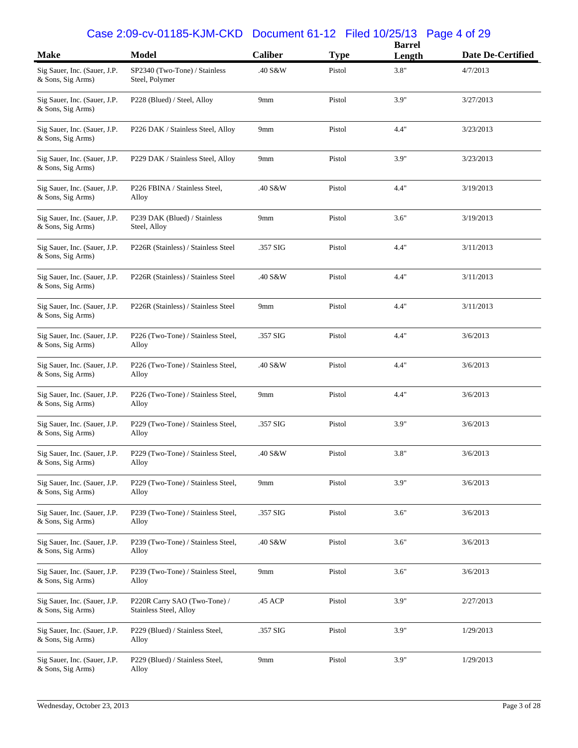#### Case 2:09-cv-01185-KJM-CKD Document 61-12 Filed 10/25/13 Page 4 of 29

| <b>Make</b>                                       | <b>Model</b>                                           | Caliber  | <b>Type</b> | <b>Barrel</b><br>Length | Date De-Certified |
|---------------------------------------------------|--------------------------------------------------------|----------|-------------|-------------------------|-------------------|
| Sig Sauer, Inc. (Sauer, J.P.<br>& Sons, Sig Arms) | SP2340 (Two-Tone) / Stainless<br>Steel, Polymer        | .40 S&W  | Pistol      | 3.8"                    | 4/7/2013          |
| Sig Sauer, Inc. (Sauer, J.P.<br>& Sons, Sig Arms) | P228 (Blued) / Steel, Alloy                            | 9mm      | Pistol      | 3.9"                    | 3/27/2013         |
| Sig Sauer, Inc. (Sauer, J.P.<br>& Sons, Sig Arms) | P226 DAK / Stainless Steel, Alloy                      | 9mm      | Pistol      | 4.4"                    | 3/23/2013         |
| Sig Sauer, Inc. (Sauer, J.P.<br>& Sons, Sig Arms) | P229 DAK / Stainless Steel, Alloy                      | 9mm      | Pistol      | 3.9"                    | 3/23/2013         |
| Sig Sauer, Inc. (Sauer, J.P.<br>& Sons, Sig Arms) | P226 FBINA / Stainless Steel,<br>Alloy                 | .40 S&W  | Pistol      | 4.4"                    | 3/19/2013         |
| Sig Sauer, Inc. (Sauer, J.P.<br>& Sons, Sig Arms) | P239 DAK (Blued) / Stainless<br>Steel, Alloy           | 9mm      | Pistol      | 3.6"                    | 3/19/2013         |
| Sig Sauer, Inc. (Sauer, J.P.<br>& Sons, Sig Arms) | P226R (Stainless) / Stainless Steel                    | .357 SIG | Pistol      | 4.4"                    | 3/11/2013         |
| Sig Sauer, Inc. (Sauer, J.P.<br>& Sons, Sig Arms) | P226R (Stainless) / Stainless Steel                    | .40 S&W  | Pistol      | 4.4"                    | 3/11/2013         |
| Sig Sauer, Inc. (Sauer, J.P.<br>& Sons, Sig Arms) | P226R (Stainless) / Stainless Steel                    | 9mm      | Pistol      | 4.4"                    | 3/11/2013         |
| Sig Sauer, Inc. (Sauer, J.P.<br>& Sons, Sig Arms) | P226 (Two-Tone) / Stainless Steel,<br>Alloy            | .357 SIG | Pistol      | 4.4"                    | 3/6/2013          |
| Sig Sauer, Inc. (Sauer, J.P.<br>& Sons, Sig Arms) | P226 (Two-Tone) / Stainless Steel,<br>Alloy            | .40 S&W  | Pistol      | 4.4"                    | 3/6/2013          |
| Sig Sauer, Inc. (Sauer, J.P.<br>& Sons, Sig Arms) | P226 (Two-Tone) / Stainless Steel,<br>Alloy            | 9mm      | Pistol      | 4.4"                    | 3/6/2013          |
| Sig Sauer, Inc. (Sauer, J.P.<br>& Sons, Sig Arms) | P229 (Two-Tone) / Stainless Steel,<br>Alloy            | .357 SIG | Pistol      | 3.9"                    | 3/6/2013          |
| Sig Sauer, Inc. (Sauer, J.P.<br>& Sons, Sig Arms) | P229 (Two-Tone) / Stainless Steel,<br>Alloy            | .40 S&W  | Pistol      | 3.8"                    | 3/6/2013          |
| Sig Sauer, Inc. (Sauer, J.P.<br>& Sons, Sig Arms) | P229 (Two-Tone) / Stainless Steel,<br>Alloy            | 9mm      | Pistol      | 3.9"                    | 3/6/2013          |
| Sig Sauer, Inc. (Sauer, J.P.<br>& Sons, Sig Arms) | P239 (Two-Tone) / Stainless Steel,<br>Alloy            | .357 SIG | Pistol      | 3.6"                    | 3/6/2013          |
| Sig Sauer, Inc. (Sauer, J.P.<br>& Sons, Sig Arms) | P239 (Two-Tone) / Stainless Steel,<br>Alloy            | .40 S&W  | Pistol      | 3.6"                    | 3/6/2013          |
| Sig Sauer, Inc. (Sauer, J.P.<br>& Sons, Sig Arms) | P239 (Two-Tone) / Stainless Steel,<br>Alloy            | 9mm      | Pistol      | 3.6"                    | 3/6/2013          |
| Sig Sauer, Inc. (Sauer, J.P.<br>& Sons, Sig Arms) | P220R Carry SAO (Two-Tone) /<br>Stainless Steel, Alloy | .45 ACP  | Pistol      | 3.9"                    | 2/27/2013         |
| Sig Sauer, Inc. (Sauer, J.P.<br>& Sons, Sig Arms) | P229 (Blued) / Stainless Steel,<br>Alloy               | .357 SIG | Pistol      | 3.9"                    | 1/29/2013         |
| Sig Sauer, Inc. (Sauer, J.P.<br>& Sons, Sig Arms) | P229 (Blued) / Stainless Steel,<br>Alloy               | 9mm      | Pistol      | 3.9"                    | 1/29/2013         |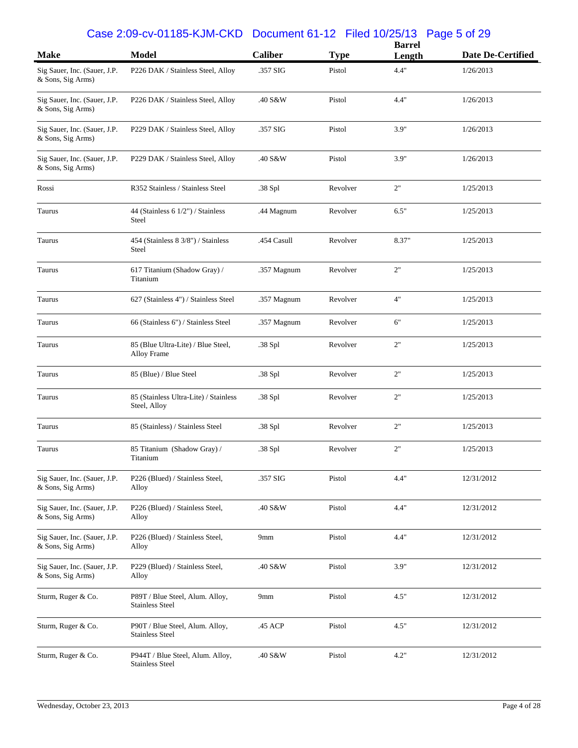#### Case 2:09-cv-01185-KJM-CKD Document 61-12 Filed 10/25/13 Page 5 of 29

| <b>Make</b>                                       | <b>Model</b>                                               | Caliber     | <b>Type</b> | <b>Barrel</b><br>Length | Date De-Certified |
|---------------------------------------------------|------------------------------------------------------------|-------------|-------------|-------------------------|-------------------|
| Sig Sauer, Inc. (Sauer, J.P.<br>& Sons, Sig Arms) | P226 DAK / Stainless Steel, Alloy                          | .357 SIG    | Pistol      | 4.4"                    | 1/26/2013         |
| Sig Sauer, Inc. (Sauer, J.P.<br>& Sons, Sig Arms) | P226 DAK / Stainless Steel, Alloy                          | .40 S&W     | Pistol      | 4.4"                    | 1/26/2013         |
| Sig Sauer, Inc. (Sauer, J.P.<br>& Sons, Sig Arms) | P229 DAK / Stainless Steel, Alloy                          | .357 SIG    | Pistol      | 3.9"                    | 1/26/2013         |
| Sig Sauer, Inc. (Sauer, J.P.<br>& Sons, Sig Arms) | P229 DAK / Stainless Steel, Alloy                          | .40 S&W     | Pistol      | 3.9"                    | 1/26/2013         |
| Rossi                                             | R352 Stainless / Stainless Steel                           | .38 Spl     | Revolver    | 2"                      | 1/25/2013         |
| Taurus                                            | 44 (Stainless 6 1/2") / Stainless<br><b>Steel</b>          | .44 Magnum  | Revolver    | 6.5"                    | 1/25/2013         |
| Taurus                                            | 454 (Stainless 8 3/8") / Stainless<br>Steel                | .454 Casull | Revolver    | 8.37"                   | 1/25/2013         |
| Taurus                                            | 617 Titanium (Shadow Gray) /<br>Titanium                   | .357 Magnum | Revolver    | 2"                      | 1/25/2013         |
| Taurus                                            | 627 (Stainless 4") / Stainless Steel                       | .357 Magnum | Revolver    | 4"                      | 1/25/2013         |
| Taurus                                            | 66 (Stainless 6") / Stainless Steel                        | .357 Magnum | Revolver    | 6"                      | 1/25/2013         |
| Taurus                                            | 85 (Blue Ultra-Lite) / Blue Steel,<br>Alloy Frame          | .38 Spl     | Revolver    | 2"                      | 1/25/2013         |
| Taurus                                            | 85 (Blue) / Blue Steel                                     | .38 Spl     | Revolver    | 2"                      | 1/25/2013         |
| Taurus                                            | 85 (Stainless Ultra-Lite) / Stainless<br>Steel, Alloy      | .38 Spl     | Revolver    | 2"                      | 1/25/2013         |
| Taurus                                            | 85 (Stainless) / Stainless Steel                           | .38 Spl     | Revolver    | 2"                      | 1/25/2013         |
| Taurus                                            | 85 Titanium (Shadow Gray) /<br>Titanium                    | .38 Spl     | Revolver    | 2"                      | 1/25/2013         |
| Sig Sauer, Inc. (Sauer, J.P.<br>& Sons, Sig Arms) | P226 (Blued) / Stainless Steel,<br>Alloy                   | .357 SIG    | Pistol      | 4.4"                    | 12/31/2012        |
| Sig Sauer, Inc. (Sauer, J.P.<br>& Sons, Sig Arms) | P226 (Blued) / Stainless Steel,<br>Alloy                   | .40 S&W     | Pistol      | 4.4"                    | 12/31/2012        |
| Sig Sauer, Inc. (Sauer, J.P.<br>& Sons, Sig Arms) | P226 (Blued) / Stainless Steel,<br>Alloy                   | 9mm         | Pistol      | 4.4"                    | 12/31/2012        |
| Sig Sauer, Inc. (Sauer, J.P.<br>& Sons, Sig Arms) | P229 (Blued) / Stainless Steel,<br>Alloy                   | .40 S&W     | Pistol      | 3.9"                    | 12/31/2012        |
| Sturm, Ruger & Co.                                | P89T / Blue Steel, Alum. Alloy,<br><b>Stainless Steel</b>  | 9mm         | Pistol      | 4.5"                    | 12/31/2012        |
| Sturm, Ruger & Co.                                | P90T / Blue Steel, Alum. Alloy,<br><b>Stainless Steel</b>  | .45 ACP     | Pistol      | 4.5"                    | 12/31/2012        |
| Sturm, Ruger & Co.                                | P944T / Blue Steel, Alum. Alloy,<br><b>Stainless Steel</b> | .40 S&W     | Pistol      | 4.2"                    | 12/31/2012        |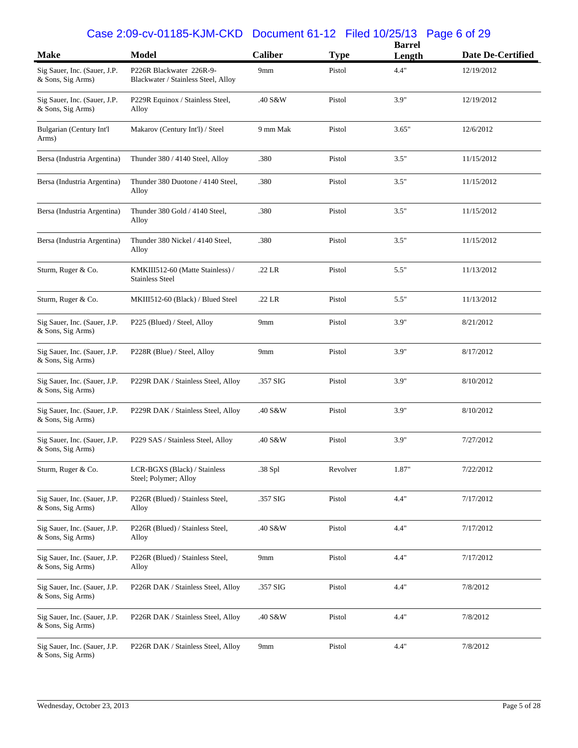#### Case 2:09-cv-01185-KJM-CKD Document 61-12 Filed 10/25/13 Page 6 of 29

| <b>Make</b>                                       | <b>Model</b>                                                    | <b>Caliber</b>  | <b>Type</b> | <b>Barrel</b> | <b>Date De-Certified</b> |
|---------------------------------------------------|-----------------------------------------------------------------|-----------------|-------------|---------------|--------------------------|
|                                                   |                                                                 |                 |             | Length        |                          |
| Sig Sauer, Inc. (Sauer, J.P.<br>& Sons, Sig Arms) | P226R Blackwater 226R-9-<br>Blackwater / Stainless Steel, Alloy | 9mm             | Pistol      | 4.4"          | 12/19/2012               |
| Sig Sauer, Inc. (Sauer, J.P.<br>& Sons, Sig Arms) | P229R Equinox / Stainless Steel,<br>Alloy                       | .40 S&W         | Pistol      | 3.9"          | 12/19/2012               |
| Bulgarian (Century Int'l<br>Arms)                 | Makarov (Century Int'l) / Steel                                 | 9 mm Mak        | Pistol      | 3.65"         | 12/6/2012                |
| Bersa (Industria Argentina)                       | Thunder 380 / 4140 Steel, Alloy                                 | .380            | Pistol      | 3.5"          | 11/15/2012               |
| Bersa (Industria Argentina)                       | Thunder 380 Duotone / 4140 Steel,<br>Alloy                      | .380            | Pistol      | 3.5"          | 11/15/2012               |
| Bersa (Industria Argentina)                       | Thunder 380 Gold / 4140 Steel,<br>Alloy                         | .380            | Pistol      | 3.5"          | 11/15/2012               |
| Bersa (Industria Argentina)                       | Thunder 380 Nickel / 4140 Steel,<br>Alloy                       | .380            | Pistol      | 3.5"          | 11/15/2012               |
| Sturm, Ruger & Co.                                | KMKIII512-60 (Matte Stainless) /<br><b>Stainless Steel</b>      | $.22$ LR        | Pistol      | 5.5"          | 11/13/2012               |
| Sturm, Ruger & Co.                                | MKIII512-60 (Black) / Blued Steel                               | $.22$ LR        | Pistol      | 5.5"          | 11/13/2012               |
| Sig Sauer, Inc. (Sauer, J.P.<br>& Sons, Sig Arms) | P225 (Blued) / Steel, Alloy                                     | 9 <sub>mm</sub> | Pistol      | 3.9"          | 8/21/2012                |
| Sig Sauer, Inc. (Sauer, J.P.<br>& Sons, Sig Arms) | P228R (Blue) / Steel, Alloy                                     | 9mm             | Pistol      | 3.9"          | 8/17/2012                |
| Sig Sauer, Inc. (Sauer, J.P.<br>& Sons, Sig Arms) | P229R DAK / Stainless Steel, Alloy                              | .357 SIG        | Pistol      | 3.9"          | 8/10/2012                |
| Sig Sauer, Inc. (Sauer, J.P.<br>& Sons, Sig Arms) | P229R DAK / Stainless Steel, Alloy                              | .40 S&W         | Pistol      | 3.9"          | 8/10/2012                |
| Sig Sauer, Inc. (Sauer, J.P.<br>& Sons, Sig Arms) | P229 SAS / Stainless Steel, Alloy                               | .40 S&W         | Pistol      | 3.9"          | 7/27/2012                |
| Sturm, Ruger & Co.                                | LCR-BGXS (Black) / Stainless<br>Steel; Polymer; Alloy           | .38 Spl         | Revolver    | 1.87"         | 7/22/2012                |
| Sig Sauer, Inc. (Sauer, J.P.<br>& Sons, Sig Arms) | P226R (Blued) / Stainless Steel,<br>Alloy                       | .357 SIG        | Pistol      | 4.4"          | 7/17/2012                |
| Sig Sauer, Inc. (Sauer, J.P.<br>& Sons, Sig Arms) | P226R (Blued) / Stainless Steel,<br>Alloy                       | .40 S&W         | Pistol      | 4.4"          | 7/17/2012                |
| Sig Sauer, Inc. (Sauer, J.P.<br>& Sons, Sig Arms) | P226R (Blued) / Stainless Steel,<br>Alloy                       | 9 <sub>mm</sub> | Pistol      | 4.4"          | 7/17/2012                |
| Sig Sauer, Inc. (Sauer, J.P.<br>& Sons, Sig Arms) | P226R DAK / Stainless Steel, Alloy                              | .357 SIG        | Pistol      | 4.4"          | 7/8/2012                 |
| Sig Sauer, Inc. (Sauer, J.P.<br>& Sons, Sig Arms) | P226R DAK / Stainless Steel, Alloy                              | .40 S&W         | Pistol      | 4.4"          | 7/8/2012                 |
| Sig Sauer, Inc. (Sauer, J.P.<br>& Sons, Sig Arms) | P226R DAK / Stainless Steel, Alloy                              | 9 <sub>mm</sub> | Pistol      | 4.4"          | 7/8/2012                 |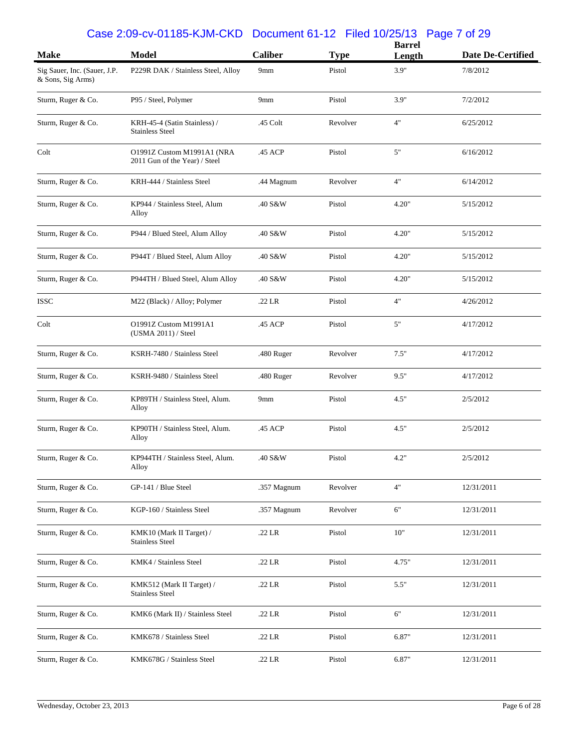#### Case 2:09-cv-01185-KJM-CKD Document 61-12 Filed 10/25/13 Page 7 of 29

| <b>Make</b>                                       | <b>Model</b>                                                | <b>Caliber</b>  | <b>Type</b> | <b>Barrel</b><br>Length | Date De-Certified |
|---------------------------------------------------|-------------------------------------------------------------|-----------------|-------------|-------------------------|-------------------|
| Sig Sauer, Inc. (Sauer, J.P.<br>& Sons, Sig Arms) | P229R DAK / Stainless Steel, Alloy                          | 9mm             | Pistol      | 3.9"                    | 7/8/2012          |
| Sturm, Ruger & Co.                                | P95 / Steel, Polymer                                        | 9mm             | Pistol      | 3.9"                    | 7/2/2012          |
| Sturm, Ruger & Co.                                | KRH-45-4 (Satin Stainless) /<br><b>Stainless Steel</b>      | .45 Colt        | Revolver    | 4"                      | 6/25/2012         |
| Colt                                              | O1991Z Custom M1991A1 (NRA<br>2011 Gun of the Year) / Steel | .45 ACP         | Pistol      | 5"                      | 6/16/2012         |
| Sturm, Ruger & Co.                                | KRH-444 / Stainless Steel                                   | .44 Magnum      | Revolver    | 4"                      | 6/14/2012         |
| Sturm, Ruger & Co.                                | KP944 / Stainless Steel, Alum<br>Alloy                      | .40 S&W         | Pistol      | 4.20"                   | 5/15/2012         |
| Sturm, Ruger & Co.                                | P944 / Blued Steel, Alum Alloy                              | .40 S&W         | Pistol      | 4.20"                   | 5/15/2012         |
| Sturm, Ruger & Co.                                | P944T / Blued Steel, Alum Alloy                             | .40 S&W         | Pistol      | 4.20"                   | 5/15/2012         |
| Sturm, Ruger & Co.                                | P944TH / Blued Steel, Alum Alloy                            | .40 S&W         | Pistol      | 4.20"                   | 5/15/2012         |
| <b>ISSC</b>                                       | M22 (Black) / Alloy; Polymer                                | $.22$ LR        | Pistol      | 4"                      | 4/26/2012         |
| Colt                                              | O1991Z Custom M1991A1<br>(USMA 2011) / Steel                | .45 ACP         | Pistol      | 5"                      | 4/17/2012         |
| Sturm, Ruger & Co.                                | KSRH-7480 / Stainless Steel                                 | .480 Ruger      | Revolver    | 7.5"                    | 4/17/2012         |
| Sturm, Ruger & Co.                                | KSRH-9480 / Stainless Steel                                 | .480 Ruger      | Revolver    | 9.5"                    | 4/17/2012         |
| Sturm, Ruger & Co.                                | KP89TH / Stainless Steel, Alum.<br>Alloy                    | 9 <sub>mm</sub> | Pistol      | 4.5"                    | 2/5/2012          |
| Sturm, Ruger & Co.                                | KP90TH / Stainless Steel, Alum.<br>Alloy                    | .45 ACP         | Pistol      | 4.5"                    | 2/5/2012          |
| Sturm, Ruger & Co.                                | KP944TH / Stainless Steel, Alum.<br>Alloy                   | .40 S&W         | Pistol      | 4.2"                    | 2/5/2012          |
| Sturm, Ruger & Co.                                | GP-141 / Blue Steel                                         | .357 Magnum     | Revolver    | 4"                      | 12/31/2011        |
| Sturm, Ruger & Co.                                | KGP-160 / Stainless Steel                                   | .357 Magnum     | Revolver    | 6"                      | 12/31/2011        |
| Sturm, Ruger & Co.                                | KMK10 (Mark II Target) /<br><b>Stainless Steel</b>          | .22 LR          | Pistol      | 10"                     | 12/31/2011        |
| Sturm, Ruger & Co.                                | KMK4 / Stainless Steel                                      | .22 LR          | Pistol      | 4.75"                   | 12/31/2011        |
| Sturm, Ruger & Co.                                | KMK512 (Mark II Target) /<br><b>Stainless Steel</b>         | .22 LR          | Pistol      | 5.5"                    | 12/31/2011        |
| Sturm, Ruger & Co.                                | KMK6 (Mark II) / Stainless Steel                            | .22 LR          | Pistol      | 6"                      | 12/31/2011        |
| Sturm, Ruger & Co.                                | KMK678 / Stainless Steel                                    | .22 LR          | Pistol      | 6.87"                   | 12/31/2011        |
| Sturm, Ruger & Co.                                | KMK678G / Stainless Steel                                   | .22 LR          | Pistol      | 6.87"                   | 12/31/2011        |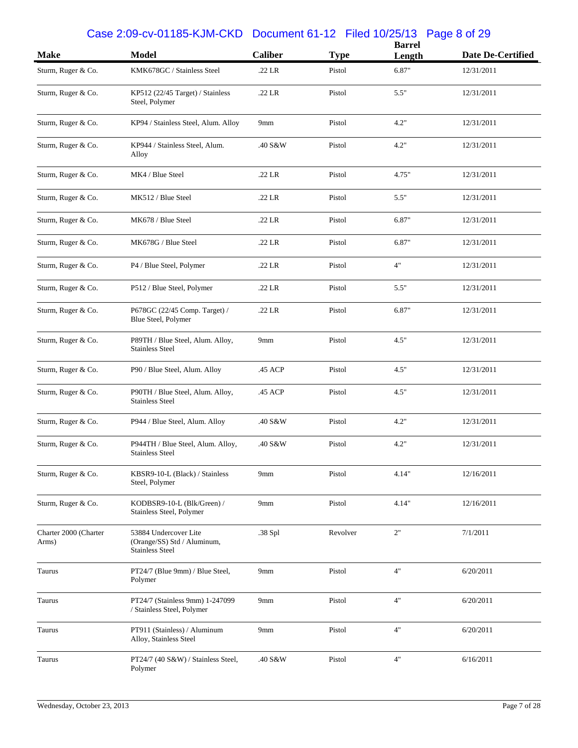#### Case 2:09-cv-01185-KJM-CKD Document 61-12 Filed 10/25/13 Page 8 of 29

| <b>Make</b>                    | <b>Model</b>                                                                   | <b>Caliber</b> | <b>Type</b> | <b>Barrel</b><br>Length | <b>Date De-Certified</b> |
|--------------------------------|--------------------------------------------------------------------------------|----------------|-------------|-------------------------|--------------------------|
| Sturm, Ruger & Co.             | KMK678GC / Stainless Steel                                                     | .22 LR         | Pistol      | 6.87"                   | 12/31/2011               |
| Sturm, Ruger & Co.             | KP512 (22/45 Target) / Stainless<br>Steel, Polymer                             | .22 LR         | Pistol      | 5.5"                    | 12/31/2011               |
| Sturm, Ruger & Co.             | KP94 / Stainless Steel, Alum. Alloy                                            | 9mm            | Pistol      | 4.2"                    | 12/31/2011               |
| Sturm, Ruger & Co.             | KP944 / Stainless Steel, Alum.<br>Alloy                                        | .40 S&W        | Pistol      | 4.2"                    | 12/31/2011               |
| Sturm, Ruger & Co.             | MK4 / Blue Steel                                                               | .22 LR         | Pistol      | 4.75"                   | 12/31/2011               |
| Sturm, Ruger & Co.             | MK512 / Blue Steel                                                             | .22 LR         | Pistol      | 5.5"                    | 12/31/2011               |
| Sturm, Ruger & Co.             | MK678 / Blue Steel                                                             | .22 LR         | Pistol      | 6.87"                   | 12/31/2011               |
| Sturm, Ruger & Co.             | MK678G / Blue Steel                                                            | .22 LR         | Pistol      | 6.87"                   | 12/31/2011               |
| Sturm, Ruger & Co.             | P4 / Blue Steel, Polymer                                                       | .22 LR         | Pistol      | 4"                      | 12/31/2011               |
| Sturm, Ruger & Co.             | P512 / Blue Steel, Polymer                                                     | .22 LR         | Pistol      | 5.5"                    | 12/31/2011               |
| Sturm, Ruger & Co.             | P678GC (22/45 Comp. Target) /<br>Blue Steel, Polymer                           | .22 LR         | Pistol      | 6.87"                   | 12/31/2011               |
| Sturm, Ruger & Co.             | P89TH / Blue Steel, Alum. Alloy,<br><b>Stainless Steel</b>                     | 9mm            | Pistol      | 4.5"                    | 12/31/2011               |
| Sturm, Ruger & Co.             | P90 / Blue Steel, Alum. Alloy                                                  | .45 ACP        | Pistol      | 4.5"                    | 12/31/2011               |
| Sturm, Ruger & Co.             | P90TH / Blue Steel, Alum. Alloy,<br><b>Stainless Steel</b>                     | .45 ACP        | Pistol      | 4.5"                    | 12/31/2011               |
| Sturm, Ruger & Co.             | P944 / Blue Steel, Alum. Alloy                                                 | .40 S&W        | Pistol      | 4.2"                    | 12/31/2011               |
| Sturm, Ruger & Co.             | P944TH / Blue Steel, Alum. Alloy,<br><b>Stainless Steel</b>                    | .40 S&W        | Pistol      | 4.2"                    | 12/31/2011               |
| Sturm, Ruger & Co.             | KBSR9-10-L (Black) / Stainless<br>Steel, Polymer                               | 9mm            | Pistol      | 4.14"                   | 12/16/2011               |
| Sturm, Ruger & Co.             | KODBSR9-10-L (Blk/Green) /<br>Stainless Steel, Polymer                         | 9mm            | Pistol      | 4.14"                   | 12/16/2011               |
| Charter 2000 (Charter<br>Arms) | 53884 Undercover Lite<br>(Orange/SS) Std / Aluminum,<br><b>Stainless Steel</b> | .38 Spl        | Revolver    | 2"                      | 7/1/2011                 |
| Taurus                         | PT24/7 (Blue 9mm) / Blue Steel,<br>Polymer                                     | 9mm            | Pistol      | 4"                      | 6/20/2011                |
| Taurus                         | PT24/7 (Stainless 9mm) 1-247099<br>/ Stainless Steel, Polymer                  | 9mm            | Pistol      | 4"                      | 6/20/2011                |
| Taurus                         | PT911 (Stainless) / Aluminum<br>Alloy, Stainless Steel                         | 9mm            | Pistol      | 4"                      | 6/20/2011                |
| Taurus                         | PT24/7 (40 S&W) / Stainless Steel,<br>Polymer                                  | .40 S&W        | Pistol      | 4"                      | 6/16/2011                |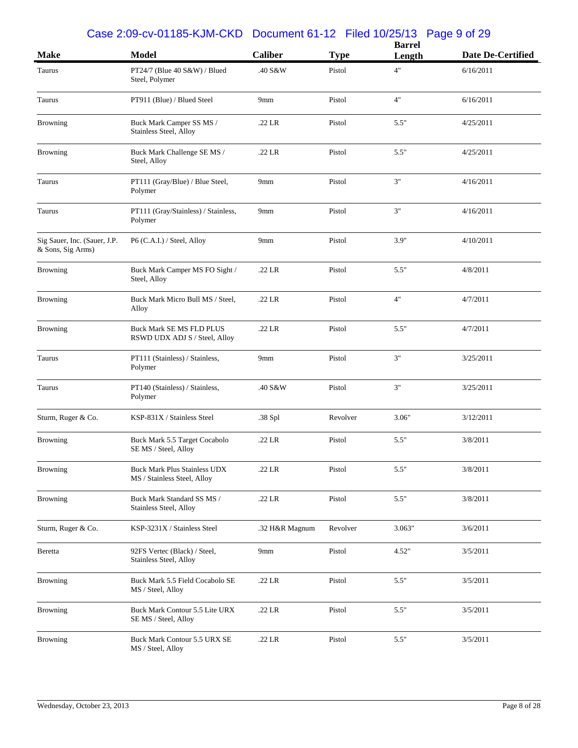#### Case 2:09-cv-01185-KJM-CKD Document 61-12 Filed 10/25/13 Page 9 of 29

|                                                   |                                                                    |                 |             | <b>Barrel</b> |                   |
|---------------------------------------------------|--------------------------------------------------------------------|-----------------|-------------|---------------|-------------------|
| <b>Make</b>                                       | <b>Model</b>                                                       | <b>Caliber</b>  | <b>Type</b> | Length        | Date De-Certified |
| Taurus                                            | PT24/7 (Blue 40 $S&W$ ) / Blued<br>Steel, Polymer                  | .40 S&W         | Pistol      | 4"            | 6/16/2011         |
| Taurus                                            | PT911 (Blue) / Blued Steel                                         | 9 <sub>mm</sub> | Pistol      | 4"            | 6/16/2011         |
| Browning                                          | Buck Mark Camper SS MS /<br>Stainless Steel, Alloy                 | .22 LR          | Pistol      | 5.5"          | 4/25/2011         |
| Browning                                          | Buck Mark Challenge SE MS /<br>Steel, Alloy                        | $.22$ LR        | Pistol      | 5.5"          | 4/25/2011         |
| Taurus                                            | PT111 (Gray/Blue) / Blue Steel,<br>Polymer                         | 9mm             | Pistol      | 3"            | 4/16/2011         |
| Taurus                                            | PT111 (Gray/Stainless) / Stainless,<br>Polymer                     | 9 <sub>mm</sub> | Pistol      | 3"            | 4/16/2011         |
| Sig Sauer, Inc. (Sauer, J.P.<br>& Sons, Sig Arms) | P6 (C.A.I.) / Steel, Alloy                                         | 9 <sub>mm</sub> | Pistol      | 3.9"          | 4/10/2011         |
| <b>Browning</b>                                   | Buck Mark Camper MS FO Sight /<br>Steel, Alloy                     | $.22$ LR        | Pistol      | 5.5"          | 4/8/2011          |
| <b>Browning</b>                                   | Buck Mark Micro Bull MS / Steel,<br>Alloy                          | .22 LR          | Pistol      | 4"            | 4/7/2011          |
| Browning                                          | <b>Buck Mark SE MS FLD PLUS</b><br>RSWD UDX ADJ S / Steel, Alloy   | .22 LR          | Pistol      | 5.5"          | 4/7/2011          |
| Taurus                                            | PT111 (Stainless) / Stainless,<br>Polymer                          | 9 <sub>mm</sub> | Pistol      | 3"            | 3/25/2011         |
| Taurus                                            | PT140 (Stainless) / Stainless,<br>Polymer                          | .40 S&W         | Pistol      | 3"            | 3/25/2011         |
| Sturm, Ruger & Co.                                | KSP-831X / Stainless Steel                                         | .38 Spl         | Revolver    | 3.06"         | 3/12/2011         |
| <b>Browning</b>                                   | Buck Mark 5.5 Target Cocabolo<br>SE MS / Steel, Alloy              | .22 LR          | Pistol      | 5.5"          | 3/8/2011          |
| Browning                                          | <b>Buck Mark Plus Stainless UDX</b><br>MS / Stainless Steel, Alloy | .22 LR          | Pistol      | 5.5"          | 3/8/2011          |
| <b>Browning</b>                                   | Buck Mark Standard SS MS /<br>Stainless Steel, Alloy               | .22 LR          | Pistol      | 5.5"          | 3/8/2011          |
| Sturm, Ruger & Co.                                | KSP-3231X / Stainless Steel                                        | .32 H&R Magnum  | Revolver    | 3.063"        | 3/6/2011          |
| Beretta                                           | 92FS Vertec (Black) / Steel,<br>Stainless Steel, Alloy             | 9mm             | Pistol      | 4.52"         | 3/5/2011          |
| <b>Browning</b>                                   | Buck Mark 5.5 Field Cocabolo SE<br>MS / Steel, Alloy               | .22 LR          | Pistol      | 5.5"          | 3/5/2011          |
| <b>Browning</b>                                   | Buck Mark Contour 5.5 Lite URX<br>SE MS / Steel, Alloy             | .22 LR          | Pistol      | 5.5"          | 3/5/2011          |
| <b>Browning</b>                                   | Buck Mark Contour 5.5 URX SE<br>MS / Steel, Alloy                  | .22 LR          | Pistol      | 5.5"          | 3/5/2011          |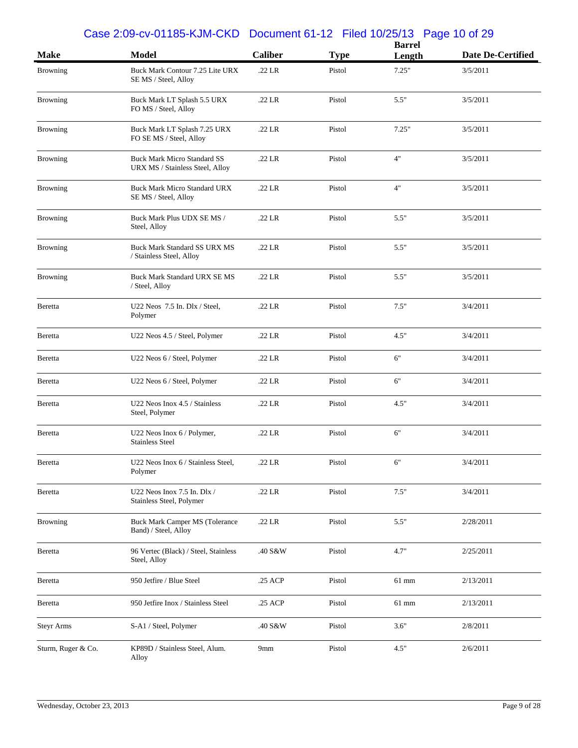#### Case 2:09-cv-01185-KJM-CKD Document 61-12 Filed 10/25/13 Page 10 of 29

|                    |                                                                       |                    |             | <b>Barrel</b> |                   |
|--------------------|-----------------------------------------------------------------------|--------------------|-------------|---------------|-------------------|
| <b>Make</b>        | <b>Model</b>                                                          | <b>Caliber</b>     | <b>Type</b> | Length        | Date De-Certified |
| <b>Browning</b>    | Buck Mark Contour 7.25 Lite URX<br>SE MS / Steel, Alloy               | .22 LR             | Pistol      | 7.25"         | 3/5/2011          |
| <b>Browning</b>    | Buck Mark LT Splash 5.5 URX<br>FO MS / Steel, Alloy                   | .22 LR             | Pistol      | 5.5"          | 3/5/2011          |
| Browning           | Buck Mark LT Splash 7.25 URX<br>FO SE MS / Steel, Alloy               | $.22$ LR           | Pistol      | 7.25"         | 3/5/2011          |
| <b>Browning</b>    | <b>Buck Mark Micro Standard SS</b><br>URX MS / Stainless Steel, Alloy | $.22\ \mathrm{LR}$ | Pistol      | 4"            | 3/5/2011          |
| <b>Browning</b>    | <b>Buck Mark Micro Standard URX</b><br>SE MS / Steel, Alloy           | $.22$ LR           | Pistol      | 4"            | 3/5/2011          |
| Browning           | Buck Mark Plus UDX SE MS /<br>Steel, Alloy                            | $.22$ LR           | Pistol      | 5.5"          | 3/5/2011          |
| <b>Browning</b>    | <b>Buck Mark Standard SS URX MS</b><br>/ Stainless Steel, Alloy       | .22 LR             | Pistol      | 5.5"          | 3/5/2011          |
| Browning           | Buck Mark Standard URX SE MS<br>/ Steel, Alloy                        | $.22$ LR           | Pistol      | 5.5"          | 3/5/2011          |
| Beretta            | U22 Neos $7.5$ In. Dlx / Steel,<br>Polymer                            | $.22$ LR           | Pistol      | 7.5"          | 3/4/2011          |
| Beretta            | U22 Neos 4.5 / Steel, Polymer                                         | $.22$ LR           | Pistol      | 4.5"          | 3/4/2011          |
| Beretta            | U22 Neos 6 / Steel, Polymer                                           | .22 LR             | Pistol      | 6"            | 3/4/2011          |
| Beretta            | U22 Neos 6 / Steel, Polymer                                           | $.22$ LR           | Pistol      | 6"            | 3/4/2011          |
| Beretta            | U22 Neos Inox 4.5 / Stainless<br>Steel, Polymer                       | $.22$ LR           | Pistol      | 4.5"          | 3/4/2011          |
| Beretta            | U22 Neos Inox 6 / Polymer,<br><b>Stainless Steel</b>                  | .22 LR             | Pistol      | 6"            | 3/4/2011          |
| Beretta            | U22 Neos Inox 6 / Stainless Steel,<br>Polymer                         | .22 LR             | Pistol      | 6"            | 3/4/2011          |
| Beretta            | U22 Neos Inox 7.5 In. Dlx /<br>Stainless Steel, Polymer               | .22 LR             | Pistol      | 7.5"          | 3/4/2011          |
| Browning           | Buck Mark Camper MS (Tolerance<br>Band) / Steel, Alloy                | .22 LR             | Pistol      | 5.5"          | 2/28/2011         |
| Beretta            | 96 Vertec (Black) / Steel, Stainless<br>Steel, Alloy                  | .40 S&W            | Pistol      | 4.7"          | 2/25/2011         |
| Beretta            | 950 Jetfire / Blue Steel                                              | .25 ACP            | Pistol      | 61 mm         | 2/13/2011         |
| Beretta            | 950 Jetfire Inox / Stainless Steel                                    | .25 ACP            | Pistol      | $61$ mm       | 2/13/2011         |
| <b>Steyr Arms</b>  | S-A1 / Steel, Polymer                                                 | .40 S&W            | Pistol      | 3.6"          | 2/8/2011          |
| Sturm, Ruger & Co. | KP89D / Stainless Steel, Alum.<br>Alloy                               | 9mm                | Pistol      | 4.5"          | 2/6/2011          |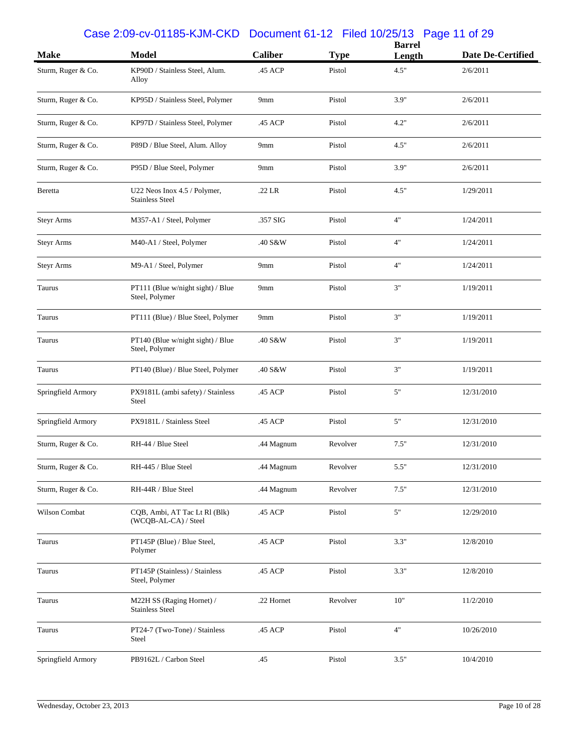### Case 2:09-cv-01185-KJM-CKD Document 61-12 Filed 10/25/13 Page 11 of 29

| <b>Make</b>        | <b>Model</b>                                           | <b>Caliber</b>  | <b>Type</b> | <b>Barrel</b><br>Length | <b>Date De-Certified</b> |
|--------------------|--------------------------------------------------------|-----------------|-------------|-------------------------|--------------------------|
| Sturm, Ruger & Co. | KP90D / Stainless Steel, Alum.<br>Alloy                | .45 ACP         | Pistol      | 4.5"                    | 2/6/2011                 |
| Sturm, Ruger & Co. | KP95D / Stainless Steel, Polymer                       | 9mm             | Pistol      | 3.9"                    | 2/6/2011                 |
| Sturm, Ruger & Co. | KP97D / Stainless Steel, Polymer                       | .45 ACP         | Pistol      | 4.2"                    | 2/6/2011                 |
| Sturm, Ruger & Co. | P89D / Blue Steel, Alum. Alloy                         | 9mm             | Pistol      | 4.5"                    | 2/6/2011                 |
| Sturm, Ruger & Co. | P95D / Blue Steel, Polymer                             | 9 <sub>mm</sub> | Pistol      | 3.9"                    | 2/6/2011                 |
| Beretta            | U22 Neos Inox 4.5 / Polymer,<br><b>Stainless Steel</b> | .22 LR          | Pistol      | 4.5"                    | 1/29/2011                |
| <b>Steyr Arms</b>  | M357-A1 / Steel, Polymer                               | .357 SIG        | Pistol      | 4"                      | 1/24/2011                |
| <b>Steyr Arms</b>  | M40-A1 / Steel, Polymer                                | .40 S&W         | Pistol      | 4"                      | 1/24/2011                |
| <b>Steyr Arms</b>  | M9-A1 / Steel, Polymer                                 | 9mm             | Pistol      | 4"                      | 1/24/2011                |
| Taurus             | PT111 (Blue w/night sight) / Blue<br>Steel, Polymer    | 9mm             | Pistol      | 3"                      | 1/19/2011                |
| Taurus             | PT111 (Blue) / Blue Steel, Polymer                     | 9mm             | Pistol      | 3"                      | 1/19/2011                |
| Taurus             | PT140 (Blue w/night sight) / Blue<br>Steel, Polymer    | .40 S&W         | Pistol      | 3"                      | 1/19/2011                |
| Taurus             | PT140 (Blue) / Blue Steel, Polymer                     | .40 S&W         | Pistol      | 3"                      | 1/19/2011                |
| Springfield Armory | PX9181L (ambi safety) / Stainless<br>Steel             | .45 ACP         | Pistol      | 5"                      | 12/31/2010               |
| Springfield Armory | PX9181L / Stainless Steel                              | .45 ACP         | Pistol      | 5"                      | 12/31/2010               |
| Sturm, Ruger & Co. | RH-44 / Blue Steel                                     | .44 Magnum      | Revolver    | 7.5"                    | 12/31/2010               |
| Sturm, Ruger & Co. | RH-445 / Blue Steel                                    | .44 Magnum      | Revolver    | 5.5"                    | 12/31/2010               |
| Sturm, Ruger & Co. | RH-44R / Blue Steel                                    | .44 Magnum      | Revolver    | 7.5"                    | 12/31/2010               |
| Wilson Combat      | CQB, Ambi, AT Tac Lt Rl (Blk)<br>(WCQB-AL-CA) / Steel  | .45 ACP         | Pistol      | 5"                      | 12/29/2010               |
| Taurus             | PT145P (Blue) / Blue Steel,<br>Polymer                 | .45 ACP         | Pistol      | 3.3"                    | 12/8/2010                |
| Taurus             | PT145P (Stainless) / Stainless<br>Steel, Polymer       | .45 ACP         | Pistol      | 3.3"                    | 12/8/2010                |
| Taurus             | M22H SS (Raging Hornet) /<br><b>Stainless Steel</b>    | .22 Hornet      | Revolver    | $10"$                   | 11/2/2010                |
| Taurus             | PT24-7 (Two-Tone) / Stainless<br>Steel                 | .45 ACP         | Pistol      | 4"                      | 10/26/2010               |
| Springfield Armory | PB9162L / Carbon Steel                                 | .45             | Pistol      | 3.5"                    | 10/4/2010                |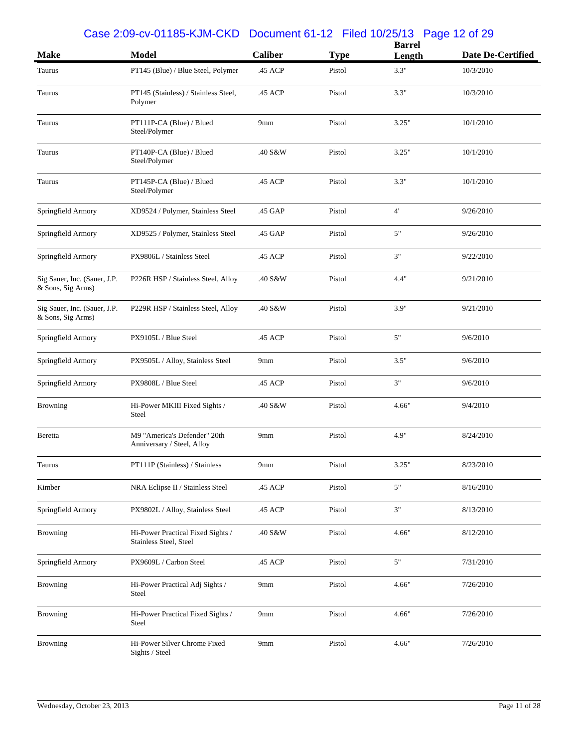#### Case 2:09-cv-01185-KJM-CKD Document 61-12 Filed 10/25/13 Page 12 of 29

| <b>Make</b>                                       | <b>Model</b>                                                | <b>Caliber</b>  | <b>Type</b> | <b>Barrel</b><br>Length | Date De-Certified |
|---------------------------------------------------|-------------------------------------------------------------|-----------------|-------------|-------------------------|-------------------|
| Taurus                                            | PT145 (Blue) / Blue Steel, Polymer                          | .45 ACP         | Pistol      | 3.3"                    | 10/3/2010         |
| Taurus                                            | PT145 (Stainless) / Stainless Steel,<br>Polymer             | .45 ACP         | Pistol      | 3.3"                    | 10/3/2010         |
| Taurus                                            | PT111P-CA (Blue) / Blued<br>Steel/Polymer                   | 9mm             | Pistol      | 3.25"                   | 10/1/2010         |
| Taurus                                            | PT140P-CA (Blue) / Blued<br>Steel/Polymer                   | .40 S&W         | Pistol      | 3.25"                   | 10/1/2010         |
| Taurus                                            | PT145P-CA (Blue) / Blued<br>Steel/Polymer                   | .45 ACP         | Pistol      | 3.3"                    | 10/1/2010         |
| Springfield Armory                                | XD9524 / Polymer, Stainless Steel                           | .45 GAP         | Pistol      | $4^{\circ}$             | 9/26/2010         |
| Springfield Armory                                | XD9525 / Polymer, Stainless Steel                           | .45 GAP         | Pistol      | 5"                      | 9/26/2010         |
| Springfield Armory                                | PX9806L / Stainless Steel                                   | .45 ACP         | Pistol      | 3"                      | 9/22/2010         |
| Sig Sauer, Inc. (Sauer, J.P.<br>& Sons, Sig Arms) | P226R HSP / Stainless Steel, Alloy                          | .40 S&W         | Pistol      | 4.4"                    | 9/21/2010         |
| Sig Sauer, Inc. (Sauer, J.P.<br>& Sons, Sig Arms) | P229R HSP / Stainless Steel, Alloy                          | .40 S&W         | Pistol      | 3.9"                    | 9/21/2010         |
| Springfield Armory                                | PX9105L / Blue Steel                                        | .45 ACP         | Pistol      | 5"                      | 9/6/2010          |
| Springfield Armory                                | PX9505L / Alloy, Stainless Steel                            | 9mm             | Pistol      | 3.5"                    | 9/6/2010          |
| Springfield Armory                                | PX9808L / Blue Steel                                        | .45 ACP         | Pistol      | 3"                      | 9/6/2010          |
| <b>Browning</b>                                   | Hi-Power MKIII Fixed Sights /<br>Steel                      | .40 S&W         | Pistol      | 4.66"                   | 9/4/2010          |
| Beretta                                           | M9 "America's Defender" 20th<br>Anniversary / Steel, Alloy  | 9mm             | Pistol      | 4.9"                    | 8/24/2010         |
| Taurus                                            | PT111P (Stainless) / Stainless                              | 9mm             | Pistol      | 3.25"                   | 8/23/2010         |
| Kimber                                            | NRA Eclipse II / Stainless Steel                            | .45 ACP         | Pistol      | 5"                      | 8/16/2010         |
| Springfield Armory                                | PX9802L / Alloy, Stainless Steel                            | .45 ACP         | Pistol      | 3"                      | 8/13/2010         |
| <b>Browning</b>                                   | Hi-Power Practical Fixed Sights /<br>Stainless Steel, Steel | .40 S&W         | Pistol      | 4.66"                   | 8/12/2010         |
| Springfield Armory                                | PX9609L / Carbon Steel                                      | .45 ACP         | Pistol      | $5"$                    | 7/31/2010         |
| <b>Browning</b>                                   | Hi-Power Practical Adj Sights /<br>Steel                    | 9 <sub>mm</sub> | Pistol      | 4.66"                   | 7/26/2010         |
| <b>Browning</b>                                   | Hi-Power Practical Fixed Sights /<br>Steel                  | 9 <sub>mm</sub> | Pistol      | 4.66"                   | 7/26/2010         |
| <b>Browning</b>                                   | Hi-Power Silver Chrome Fixed<br>Sights / Steel              | 9 <sub>mm</sub> | Pistol      | 4.66"                   | 7/26/2010         |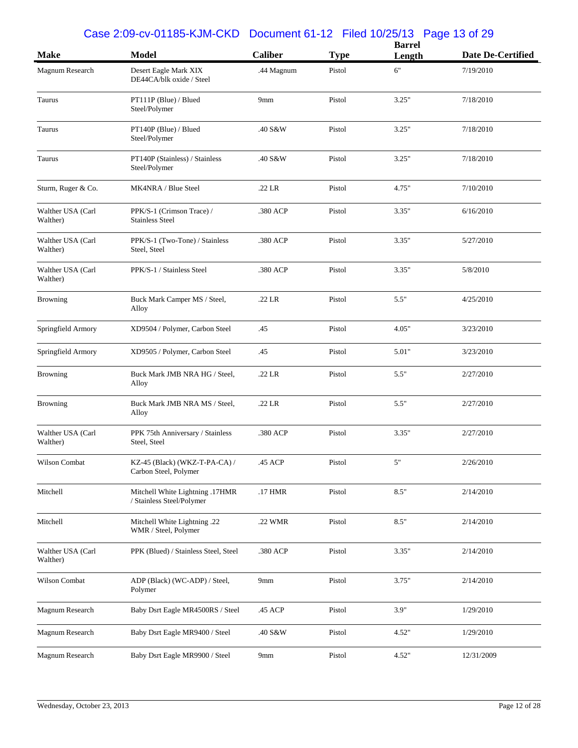|                               |                                                              |                 |             | <b>Barrel</b> |                          |
|-------------------------------|--------------------------------------------------------------|-----------------|-------------|---------------|--------------------------|
| <b>Make</b>                   | <b>Model</b>                                                 | <b>Caliber</b>  | <b>Type</b> | Length        | <b>Date De-Certified</b> |
| Magnum Research               | Desert Eagle Mark XIX<br>DE44CA/blk oxide / Steel            | .44 Magnum      | Pistol      | 6"            | 7/19/2010                |
| Taurus                        | PT111P (Blue) / Blued<br>Steel/Polymer                       | 9 <sub>mm</sub> | Pistol      | 3.25"         | 7/18/2010                |
| Taurus                        | PT140P (Blue) / Blued<br>Steel/Polymer                       | .40 S&W         | Pistol      | 3.25"         | 7/18/2010                |
| Taurus                        | PT140P (Stainless) / Stainless<br>Steel/Polymer              | .40 S&W         | Pistol      | 3.25"         | 7/18/2010                |
| Sturm, Ruger & Co.            | MK4NRA / Blue Steel                                          | .22 LR          | Pistol      | 4.75"         | 7/10/2010                |
| Walther USA (Carl<br>Walther) | PPK/S-1 (Crimson Trace) /<br><b>Stainless Steel</b>          | .380 ACP        | Pistol      | 3.35"         | 6/16/2010                |
| Walther USA (Carl<br>Walther) | PPK/S-1 (Two-Tone) / Stainless<br>Steel, Steel               | .380 ACP        | Pistol      | 3.35"         | 5/27/2010                |
| Walther USA (Carl<br>Walther) | PPK/S-1 / Stainless Steel                                    | .380 ACP        | Pistol      | 3.35"         | 5/8/2010                 |
| <b>Browning</b>               | Buck Mark Camper MS / Steel,<br>Alloy                        | .22 LR          | Pistol      | 5.5"          | 4/25/2010                |
| Springfield Armory            | XD9504 / Polymer, Carbon Steel                               | .45             | Pistol      | 4.05"         | 3/23/2010                |
| Springfield Armory            | XD9505 / Polymer, Carbon Steel                               | .45             | Pistol      | 5.01"         | 3/23/2010                |
| <b>Browning</b>               | Buck Mark JMB NRA HG / Steel,<br>Alloy                       | .22 LR          | Pistol      | 5.5"          | 2/27/2010                |
| <b>Browning</b>               | Buck Mark JMB NRA MS / Steel,<br>Alloy                       | .22 LR          | Pistol      | 5.5"          | 2/27/2010                |
| Walther USA (Carl<br>Walther) | PPK 75th Anniversary / Stainless<br>Steel, Steel             | .380 ACP        | Pistol      | 3.35"         | 2/27/2010                |
| Wilson Combat                 | KZ-45 (Black) (WKZ-T-PA-CA) /<br>Carbon Steel, Polymer       | .45 ACP         | Pistol      | $5"$          | 2/26/2010                |
| Mitchell                      | Mitchell White Lightning .17HMR<br>/ Stainless Steel/Polymer | .17 HMR         | Pistol      | 8.5"          | 2/14/2010                |
| Mitchell                      | Mitchell White Lightning .22<br>WMR / Steel, Polymer         | .22 WMR         | Pistol      | 8.5"          | 2/14/2010                |
| Walther USA (Carl<br>Walther) | PPK (Blued) / Stainless Steel, Steel                         | .380 ACP        | Pistol      | 3.35"         | 2/14/2010                |
| Wilson Combat                 | ADP (Black) (WC-ADP) / Steel,<br>Polymer                     | 9mm             | Pistol      | 3.75"         | 2/14/2010                |
| Magnum Research               | Baby Dsrt Eagle MR4500RS / Steel                             | .45 ACP         | Pistol      | 3.9"          | 1/29/2010                |
| Magnum Research               | Baby Dsrt Eagle MR9400 / Steel                               | .40 S&W         | Pistol      | 4.52"         | 1/29/2010                |
| Magnum Research               | Baby Dsrt Eagle MR9900 / Steel                               | 9mm             | Pistol      | 4.52"         | 12/31/2009               |

#### Case 2:09-cv-01185-KJM-CKD Document 61-12 Filed 10/25/13 Page 13 of 29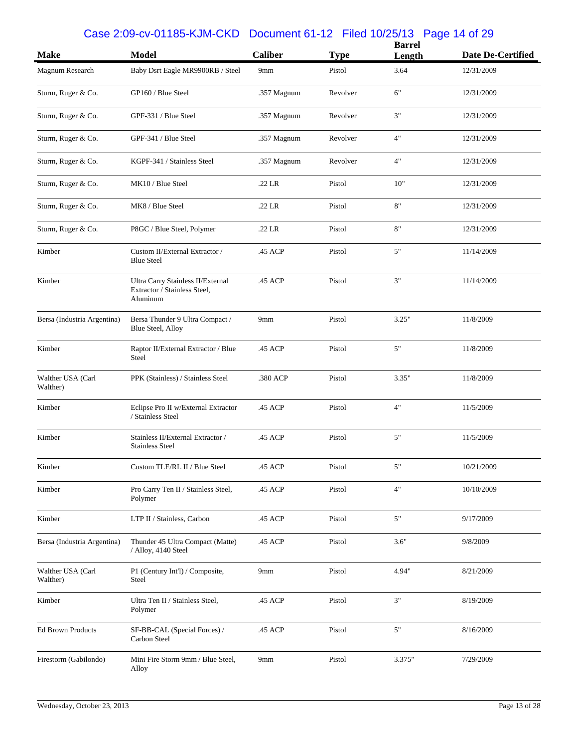## Case 2:09-cv-01185-KJM-CKD Document 61-12 Filed 10/25/13 Page 14 of 29

|                               | <b>Model</b>                                                                  | <b>Caliber</b>  |             | <b>Barrel</b> | Date De-Certified |
|-------------------------------|-------------------------------------------------------------------------------|-----------------|-------------|---------------|-------------------|
| <b>Make</b>                   |                                                                               |                 | <b>Type</b> | Length        |                   |
| Magnum Research               | Baby Dsrt Eagle MR9900RB / Steel                                              | 9 <sub>mm</sub> | Pistol      | 3.64          | 12/31/2009        |
| Sturm, Ruger & Co.            | GP160 / Blue Steel                                                            | .357 Magnum     | Revolver    | 6"            | 12/31/2009        |
| Sturm, Ruger & Co.            | GPF-331 / Blue Steel                                                          | .357 Magnum     | Revolver    | 3"            | 12/31/2009        |
| Sturm, Ruger & Co.            | GPF-341 / Blue Steel                                                          | .357 Magnum     | Revolver    | 4"            | 12/31/2009        |
| Sturm, Ruger & Co.            | KGPF-341 / Stainless Steel                                                    | .357 Magnum     | Revolver    | 4"            | 12/31/2009        |
| Sturm, Ruger & Co.            | MK10 / Blue Steel                                                             | .22 LR          | Pistol      | 10"           | 12/31/2009        |
| Sturm, Ruger & Co.            | MK8 / Blue Steel                                                              | .22 LR          | Pistol      | 8"            | 12/31/2009        |
| Sturm, Ruger & Co.            | P8GC / Blue Steel, Polymer                                                    | .22 LR          | Pistol      | 8"            | 12/31/2009        |
| Kimber                        | Custom II/External Extractor /<br><b>Blue Steel</b>                           | .45 ACP         | Pistol      | 5"            | 11/14/2009        |
| Kimber                        | Ultra Carry Stainless II/External<br>Extractor / Stainless Steel,<br>Aluminum | .45 ACP         | Pistol      | 3"            | 11/14/2009        |
| Bersa (Industria Argentina)   | Bersa Thunder 9 Ultra Compact /<br><b>Blue Steel, Alloy</b>                   | 9mm             | Pistol      | 3.25"         | 11/8/2009         |
| Kimber                        | Raptor II/External Extractor / Blue<br>Steel                                  | .45 ACP         | Pistol      | 5"            | 11/8/2009         |
| Walther USA (Carl<br>Walther) | PPK (Stainless) / Stainless Steel                                             | .380 ACP        | Pistol      | 3.35"         | 11/8/2009         |
| Kimber                        | Eclipse Pro II w/External Extractor<br>/ Stainless Steel                      | .45 ACP         | Pistol      | 4"            | 11/5/2009         |
| Kimber                        | Stainless II/External Extractor /<br><b>Stainless Steel</b>                   | .45 ACP         | Pistol      | 5"            | 11/5/2009         |
| Kimber                        | Custom TLE/RL II / Blue Steel                                                 | .45 ACP         | Pistol      | 5"            | 10/21/2009        |
| Kimber                        | Pro Carry Ten II / Stainless Steel,<br>Polymer                                | .45 ACP         | Pistol      | 4"            | 10/10/2009        |
| Kimber                        | LTP II / Stainless, Carbon                                                    | .45 ACP         | Pistol      | $5"$          | 9/17/2009         |
| Bersa (Industria Argentina)   | Thunder 45 Ultra Compact (Matte)<br>/ Alloy, 4140 Steel                       | .45 ACP         | Pistol      | 3.6"          | 9/8/2009          |
| Walther USA (Carl<br>Walther) | P1 (Century Int'l) / Composite,<br>Steel                                      | 9mm             | Pistol      | 4.94"         | 8/21/2009         |
| Kimber                        | Ultra Ten II / Stainless Steel,<br>Polymer                                    | .45 ACP         | Pistol      | 3"            | 8/19/2009         |
| <b>Ed Brown Products</b>      | SF-BB-CAL (Special Forces) /<br>Carbon Steel                                  | .45 ACP         | Pistol      | 5"            | 8/16/2009         |
| Firestorm (Gabilondo)         | Mini Fire Storm 9mm / Blue Steel,<br>Alloy                                    | 9mm             | Pistol      | 3.375"        | 7/29/2009         |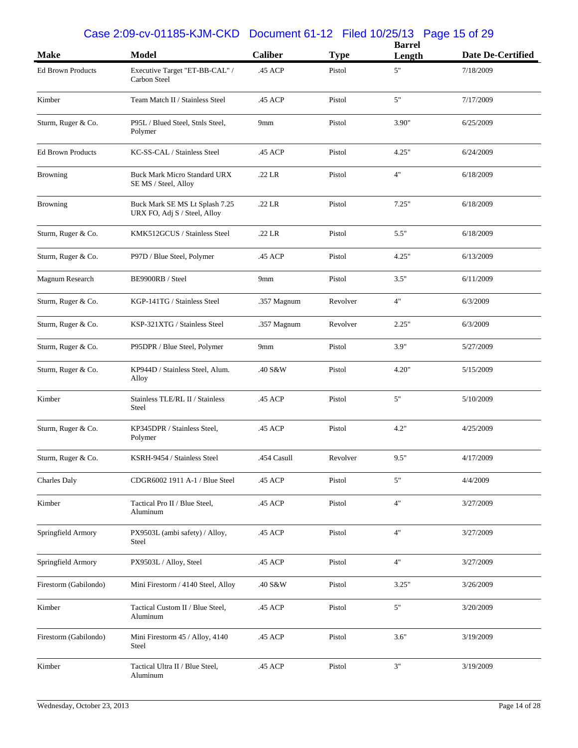#### Case 2:09-cv-01185-KJM-CKD Document 61-12 Filed 10/25/13 Page 15 of 29

| <b>Make</b>              | <b>Model</b>                                                   | <b>Caliber</b> | <b>Type</b> | <b>Barrel</b><br>Length | Date De-Certified |
|--------------------------|----------------------------------------------------------------|----------------|-------------|-------------------------|-------------------|
| <b>Ed Brown Products</b> | Executive Target "ET-BB-CAL" /<br>Carbon Steel                 | .45 ACP        | Pistol      | 5"                      | 7/18/2009         |
| Kimber                   | Team Match II / Stainless Steel                                | .45 ACP        | Pistol      | $5"$                    | 7/17/2009         |
| Sturm, Ruger & Co.       | P95L / Blued Steel, Stnls Steel,<br>Polymer                    | 9mm            | Pistol      | 3.90"                   | 6/25/2009         |
| <b>Ed Brown Products</b> | KC-SS-CAL / Stainless Steel                                    | .45 ACP        | Pistol      | 4.25"                   | 6/24/2009         |
| <b>Browning</b>          | <b>Buck Mark Micro Standard URX</b><br>SE MS / Steel, Alloy    | .22 LR         | Pistol      | 4"                      | 6/18/2009         |
| <b>Browning</b>          | Buck Mark SE MS Lt Splash 7.25<br>URX FO, Adj S / Steel, Alloy | .22 LR         | Pistol      | 7.25"                   | 6/18/2009         |
| Sturm, Ruger & Co.       | KMK512GCUS / Stainless Steel                                   | .22 LR         | Pistol      | 5.5"                    | 6/18/2009         |
| Sturm, Ruger & Co.       | P97D / Blue Steel, Polymer                                     | .45 ACP        | Pistol      | 4.25"                   | 6/13/2009         |
| Magnum Research          | BE9900RB / Steel                                               | 9mm            | Pistol      | 3.5"                    | 6/11/2009         |
| Sturm, Ruger & Co.       | KGP-141TG / Stainless Steel                                    | .357 Magnum    | Revolver    | 4"                      | 6/3/2009          |
| Sturm, Ruger & Co.       | KSP-321XTG / Stainless Steel                                   | .357 Magnum    | Revolver    | 2.25"                   | 6/3/2009          |
| Sturm, Ruger & Co.       | P95DPR / Blue Steel, Polymer                                   | 9mm            | Pistol      | 3.9"                    | 5/27/2009         |
| Sturm, Ruger & Co.       | KP944D / Stainless Steel, Alum.<br>Alloy                       | .40 S&W        | Pistol      | 4.20"                   | 5/15/2009         |
| Kimber                   | Stainless TLE/RL II / Stainless<br>Steel                       | .45 ACP        | Pistol      | 5"                      | 5/10/2009         |
| Sturm, Ruger & Co.       | KP345DPR / Stainless Steel,<br>Polymer                         | .45 ACP        | Pistol      | 4.2"                    | 4/25/2009         |
| Sturm, Ruger & Co.       | KSRH-9454 / Stainless Steel                                    | .454 Casull    | Revolver    | 9.5"                    | 4/17/2009         |
| Charles Daly             | CDGR6002 1911 A-1 / Blue Steel                                 | .45 ACP        | Pistol      | 5"                      | 4/4/2009          |
| Kimber                   | Tactical Pro II / Blue Steel,<br>Aluminum                      | .45 ACP        | Pistol      | 4"                      | 3/27/2009         |
| Springfield Armory       | PX9503L (ambi safety) / Alloy,<br>Steel                        | .45 ACP        | Pistol      | 4"                      | 3/27/2009         |
| Springfield Armory       | PX9503L / Alloy, Steel                                         | .45 ACP        | Pistol      | 4"                      | 3/27/2009         |
| Firestorm (Gabilondo)    | Mini Firestorm / 4140 Steel, Alloy                             | .40 S&W        | Pistol      | 3.25"                   | 3/26/2009         |
| Kimber                   | Tactical Custom II / Blue Steel,<br>Aluminum                   | .45 ACP        | Pistol      | 5"                      | 3/20/2009         |
| Firestorm (Gabilondo)    | Mini Firestorm 45 / Alloy, 4140<br>Steel                       | .45 ACP        | Pistol      | 3.6"                    | 3/19/2009         |
| Kimber                   | Tactical Ultra II / Blue Steel,<br>Aluminum                    | .45 ACP        | Pistol      | $3"$                    | 3/19/2009         |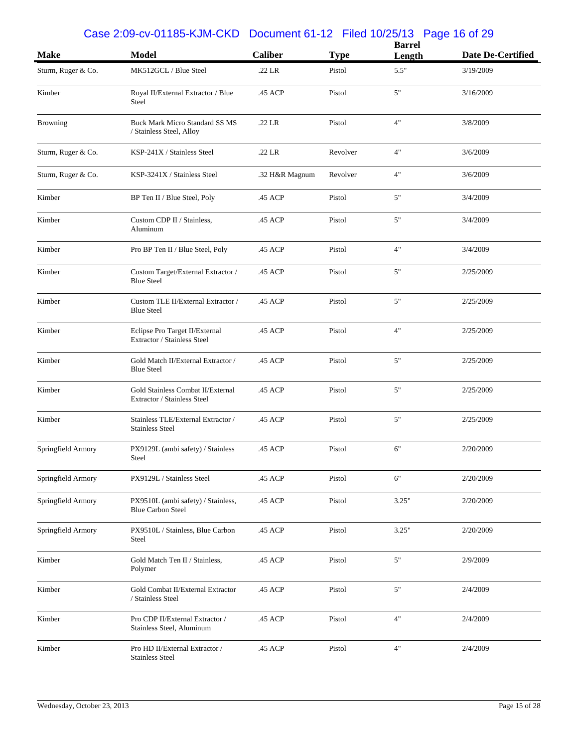## Case 2:09-cv-01185-KJM-CKD Document 61-12 Filed 10/25/13 Page 16 of 29

|                    |                                                                   |                |             | <b>Barrel</b> |                          |
|--------------------|-------------------------------------------------------------------|----------------|-------------|---------------|--------------------------|
| <b>Make</b>        | <b>Model</b>                                                      | <b>Caliber</b> | <b>Type</b> | Length        | <b>Date De-Certified</b> |
| Sturm, Ruger & Co. | MK512GCL / Blue Steel                                             | .22 LR         | Pistol      | 5.5"          | 3/19/2009                |
| Kimber             | Royal II/External Extractor / Blue<br>Steel                       | .45 ACP        | Pistol      | 5"            | 3/16/2009                |
| <b>Browning</b>    | <b>Buck Mark Micro Standard SS MS</b><br>/ Stainless Steel, Alloy | .22 LR         | Pistol      | 4"            | 3/8/2009                 |
| Sturm, Ruger & Co. | KSP-241X / Stainless Steel                                        | $.22$ LR       | Revolver    | 4"            | 3/6/2009                 |
| Sturm, Ruger & Co. | KSP-3241X / Stainless Steel                                       | .32 H&R Magnum | Revolver    | 4"            | 3/6/2009                 |
| Kimber             | BP Ten II / Blue Steel, Poly                                      | .45 ACP        | Pistol      | 5"            | 3/4/2009                 |
| Kimber             | Custom CDP II / Stainless,<br>Aluminum                            | .45 ACP        | Pistol      | 5"            | 3/4/2009                 |
| Kimber             | Pro BP Ten II / Blue Steel, Poly                                  | .45 ACP        | Pistol      | 4"            | 3/4/2009                 |
| Kimber             | Custom Target/External Extractor /<br><b>Blue Steel</b>           | .45 ACP        | Pistol      | 5"            | 2/25/2009                |
| Kimber             | Custom TLE II/External Extractor /<br><b>Blue Steel</b>           | .45 ACP        | Pistol      | 5"            | 2/25/2009                |
| Kimber             | Eclipse Pro Target II/External<br>Extractor / Stainless Steel     | .45 ACP        | Pistol      | 4"            | 2/25/2009                |
| Kimber             | Gold Match II/External Extractor /<br><b>Blue Steel</b>           | .45 ACP        | Pistol      | 5"            | 2/25/2009                |
| Kimber             | Gold Stainless Combat II/External<br>Extractor / Stainless Steel  | .45 ACP        | Pistol      | 5"            | 2/25/2009                |
| Kimber             | Stainless TLE/External Extractor /<br><b>Stainless Steel</b>      | .45 ACP        | Pistol      | 5"            | 2/25/2009                |
| Springfield Armory | PX9129L (ambi safety) / Stainless<br>Steel                        | .45 ACP        | Pistol      | 6"            | 2/20/2009                |
| Springfield Armory | PX9129L / Stainless Steel                                         | .45 ACP        | Pistol      | 6"            | 2/20/2009                |
| Springfield Armory | PX9510L (ambi safety) / Stainless,<br><b>Blue Carbon Steel</b>    | .45 ACP        | Pistol      | 3.25"         | 2/20/2009                |
| Springfield Armory | PX9510L / Stainless, Blue Carbon<br>Steel                         | .45 ACP        | Pistol      | 3.25"         | 2/20/2009                |
| Kimber             | Gold Match Ten II / Stainless,<br>Polymer                         | .45 ACP        | Pistol      | 5"            | 2/9/2009                 |
| Kimber             | Gold Combat II/External Extractor<br>/ Stainless Steel            | .45 ACP        | Pistol      | 5"            | 2/4/2009                 |
| Kimber             | Pro CDP II/External Extractor /<br>Stainless Steel, Aluminum      | .45 ACP        | Pistol      | 4"            | 2/4/2009                 |
| Kimber             | Pro HD II/External Extractor /<br><b>Stainless Steel</b>          | .45 ACP        | Pistol      | 4"            | 2/4/2009                 |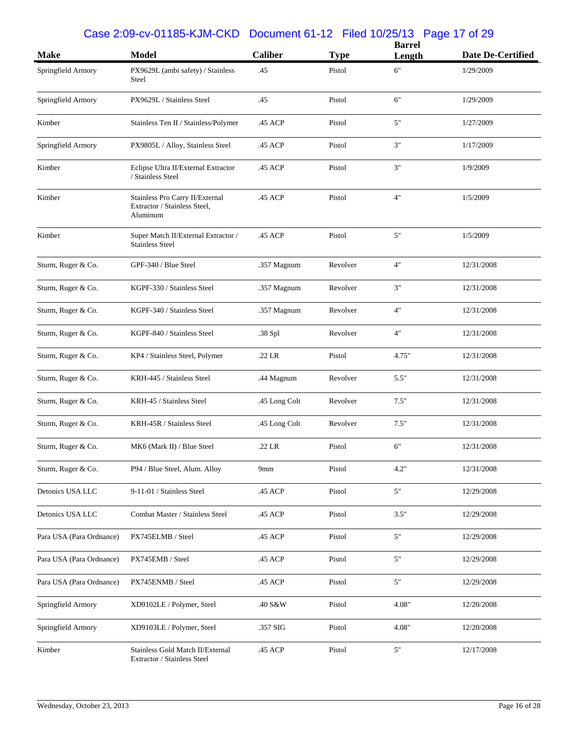## Case 2:09-cv-01185-KJM-CKD Document 61-12 Filed 10/25/13 Page 17 of 29

| <b>Make</b>              | <b>Model</b>                                                                | <b>Caliber</b> | <b>Type</b> | <b>Barrel</b><br>Length | <b>Date De-Certified</b> |
|--------------------------|-----------------------------------------------------------------------------|----------------|-------------|-------------------------|--------------------------|
| Springfield Armory       | PX9629L (ambi safety) / Stainless<br>Steel                                  | .45            | Pistol      | 6"                      | 1/29/2009                |
| Springfield Armory       | PX9629L / Stainless Steel                                                   | .45            | Pistol      | 6"                      | 1/29/2009                |
| Kimber                   | Stainless Ten II / Stainless/Polymer                                        | .45 ACP        | Pistol      | 5"                      | 1/27/2009                |
| Springfield Armory       | PX9805L / Alloy, Stainless Steel                                            | .45 ACP        | Pistol      | $3"$                    | 1/17/2009                |
| Kimber                   | Eclipse Ultra II/External Extractor<br>/ Stainless Steel                    | .45 ACP        | Pistol      | 3"                      | 1/9/2009                 |
| Kimber                   | Stainless Pro Carry II/External<br>Extractor / Stainless Steel,<br>Aluminum | .45 ACP        | Pistol      | 4"                      | 1/5/2009                 |
| Kimber                   | Super Match II/External Extractor /<br><b>Stainless Steel</b>               | .45 ACP        | Pistol      | 5"                      | 1/5/2009                 |
| Sturm, Ruger & Co.       | GPF-340 / Blue Steel                                                        | .357 Magnum    | Revolver    | 4"                      | 12/31/2008               |
| Sturm, Ruger & Co.       | KGPF-330 / Stainless Steel                                                  | .357 Magnum    | Revolver    | 3"                      | 12/31/2008               |
| Sturm, Ruger & Co.       | KGPF-340 / Stainless Steel                                                  | .357 Magnum    | Revolver    | 4"                      | 12/31/2008               |
| Sturm, Ruger & Co.       | KGPF-840 / Stainless Steel                                                  | .38 Spl        | Revolver    | 4"                      | 12/31/2008               |
| Sturm, Ruger & Co.       | KP4 / Stainless Steel, Polymer                                              | .22 LR         | Pistol      | 4.75"                   | 12/31/2008               |
| Sturm, Ruger & Co.       | KRH-445 / Stainless Steel                                                   | .44 Magnum     | Revolver    | 5.5"                    | 12/31/2008               |
| Sturm, Ruger & Co.       | KRH-45 / Stainless Steel                                                    | .45 Long Colt  | Revolver    | 7.5"                    | 12/31/2008               |
| Sturm, Ruger & Co.       | KRH-45R / Stainless Steel                                                   | .45 Long Colt  | Revolver    | 7.5"                    | 12/31/2008               |
| Sturm, Ruger & Co.       | MK6 (Mark II) / Blue Steel                                                  | .22 LR         | Pistol      | 6"                      | 12/31/2008               |
| Sturm, Ruger & Co.       | P94 / Blue Steel, Alum. Alloy                                               | 9mm            | Pistol      | 4.2"                    | 12/31/2008               |
| Detonics USA LLC         | 9-11-01 / Stainless Steel                                                   | .45 ACP        | Pistol      | $5"$                    | 12/29/2008               |
| Detonics USA LLC         | Combat Master / Stainless Steel                                             | .45 ACP        | Pistol      | 3.5"                    | 12/29/2008               |
| Para USA (Para Ordnance) | PX745ELMB / Steel                                                           | .45 ACP        | Pistol      | $5"$                    | 12/29/2008               |
| Para USA (Para Ordnance) | PX745EMB / Steel                                                            | .45 ACP        | Pistol      | $5"$                    | 12/29/2008               |
| Para USA (Para Ordnance) | PX745ENMB / Steel                                                           | .45 ACP        | Pistol      | 5"                      | 12/29/2008               |
| Springfield Armory       | XD9102LE / Polymer, Steel                                                   | .40 S&W        | Pistol      | 4.08"                   | 12/20/2008               |
| Springfield Armory       | XD9103LE / Polymer, Steel                                                   | .357 SIG       | Pistol      | 4.08"                   | 12/20/2008               |
| Kimber                   | Stainless Gold Match II/External<br>Extractor / Stainless Steel             | .45 ACP        | Pistol      | $5"$                    | 12/17/2008               |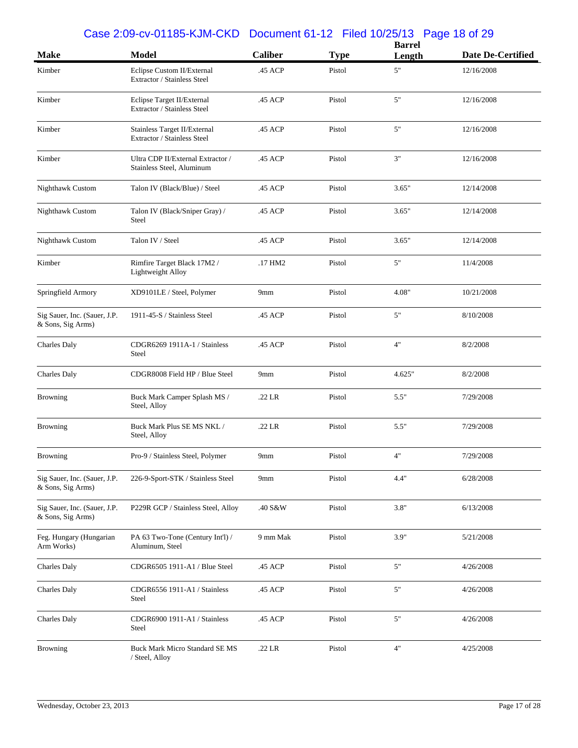#### Case 2:09-cv-01185-KJM-CKD Document 61-12 Filed 10/25/13 Page 18 of 29

|                                                   |                                                                |                 |             | <b>Barrel</b> |                          |
|---------------------------------------------------|----------------------------------------------------------------|-----------------|-------------|---------------|--------------------------|
| <b>Make</b>                                       | <b>Model</b>                                                   | <b>Caliber</b>  | <b>Type</b> | Length        | <b>Date De-Certified</b> |
| Kimber                                            | Eclipse Custom II/External<br>Extractor / Stainless Steel      | .45 ACP         | Pistol      | 5"            | 12/16/2008               |
| Kimber                                            | Eclipse Target II/External<br>Extractor / Stainless Steel      | .45 ACP         | Pistol      | $5"$          | 12/16/2008               |
| Kimber                                            | Stainless Target II/External<br>Extractor / Stainless Steel    | .45 ACP         | Pistol      | 5"            | 12/16/2008               |
| Kimber                                            | Ultra CDP II/External Extractor /<br>Stainless Steel, Aluminum | .45 ACP         | Pistol      | 3"            | 12/16/2008               |
| Nighthawk Custom                                  | Talon IV (Black/Blue) / Steel                                  | .45 ACP         | Pistol      | 3.65"         | 12/14/2008               |
| Nighthawk Custom                                  | Talon IV (Black/Sniper Gray) /<br>Steel                        | .45 ACP         | Pistol      | 3.65"         | 12/14/2008               |
| Nighthawk Custom                                  | Talon IV / Steel                                               | .45 ACP         | Pistol      | 3.65"         | 12/14/2008               |
| Kimber                                            | Rimfire Target Black 17M2 /<br>Lightweight Alloy               | .17 HM2         | Pistol      | 5"            | 11/4/2008                |
| Springfield Armory                                | XD9101LE / Steel, Polymer                                      | 9mm             | Pistol      | 4.08"         | 10/21/2008               |
| Sig Sauer, Inc. (Sauer, J.P.<br>& Sons, Sig Arms) | 1911-45-S / Stainless Steel                                    | .45 ACP         | Pistol      | 5"            | 8/10/2008                |
| Charles Daly                                      | CDGR6269 1911A-1 / Stainless<br>Steel                          | .45 ACP         | Pistol      | 4"            | 8/2/2008                 |
| <b>Charles Daly</b>                               | CDGR8008 Field HP / Blue Steel                                 | 9 <sub>mm</sub> | Pistol      | 4.625"        | 8/2/2008                 |
| <b>Browning</b>                                   | Buck Mark Camper Splash MS /<br>Steel, Alloy                   | $.22$ LR        | Pistol      | 5.5"          | 7/29/2008                |
| <b>Browning</b>                                   | Buck Mark Plus SE MS NKL /<br>Steel, Alloy                     | $.22$ LR        | Pistol      | 5.5"          | 7/29/2008                |
| <b>Browning</b>                                   | Pro-9 / Stainless Steel, Polymer                               | 9 <sub>mm</sub> | Pistol      | 4"            | 7/29/2008                |
| Sig Sauer, Inc. (Sauer, J.P.<br>& Sons, Sig Arms) | 226-9-Sport-STK / Stainless Steel                              | 9mm             | Pistol      | 4.4"          | 6/28/2008                |
| Sig Sauer, Inc. (Sauer, J.P.<br>& Sons, Sig Arms) | P229R GCP / Stainless Steel, Alloy                             | .40 S&W         | Pistol      | 3.8"          | 6/13/2008                |
| Feg. Hungary (Hungarian<br>Arm Works)             | PA 63 Two-Tone (Century Int'l) /<br>Aluminum, Steel            | 9 mm Mak        | Pistol      | 3.9"          | 5/21/2008                |
| <b>Charles Daly</b>                               | CDGR6505 1911-A1 / Blue Steel                                  | .45 ACP         | Pistol      | 5"            | 4/26/2008                |
| Charles Daly                                      | CDGR6556 1911-A1 / Stainless<br>Steel                          | .45 ACP         | Pistol      | $5"$          | 4/26/2008                |
| <b>Charles Daly</b>                               | CDGR6900 1911-A1 / Stainless<br>Steel                          | .45 ACP         | Pistol      | 5"            | 4/26/2008                |
| <b>Browning</b>                                   | <b>Buck Mark Micro Standard SE MS</b><br>/ Steel, Alloy        | .22 LR          | Pistol      | $4"$          | 4/25/2008                |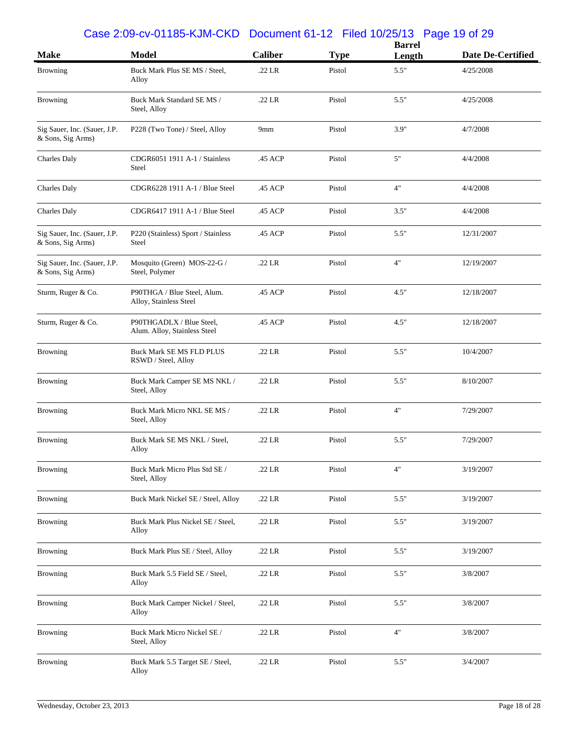#### Case 2:09-cv-01185-KJM-CKD Document 61-12 Filed 10/25/13 Page 19 of 29

| <b>Make</b>                                       | <b>Model</b>                                             | <b>Caliber</b>  | <b>Type</b> | <b>Barrel</b><br>Length | Date De-Certified |
|---------------------------------------------------|----------------------------------------------------------|-----------------|-------------|-------------------------|-------------------|
| <b>Browning</b>                                   | Buck Mark Plus SE MS / Steel,                            | .22 LR          | Pistol      | 5.5"                    | 4/25/2008         |
|                                                   | Alloy                                                    |                 |             |                         |                   |
| <b>Browning</b>                                   | Buck Mark Standard SE MS /<br>Steel, Alloy               | .22 LR          | Pistol      | 5.5"                    | 4/25/2008         |
| Sig Sauer, Inc. (Sauer, J.P.<br>& Sons, Sig Arms) | P228 (Two Tone) / Steel, Alloy                           | 9 <sub>mm</sub> | Pistol      | 3.9"                    | 4/7/2008          |
| Charles Daly                                      | CDGR6051 1911 A-1 / Stainless<br>Steel                   | .45 ACP         | Pistol      | 5"                      | 4/4/2008          |
| <b>Charles Daly</b>                               | CDGR6228 1911 A-1 / Blue Steel                           | .45 ACP         | Pistol      | 4"                      | 4/4/2008          |
| <b>Charles Daly</b>                               | CDGR6417 1911 A-1 / Blue Steel                           | .45 ACP         | Pistol      | 3.5"                    | 4/4/2008          |
| Sig Sauer, Inc. (Sauer, J.P.<br>& Sons, Sig Arms) | P220 (Stainless) Sport / Stainless<br>Steel              | .45 ACP         | Pistol      | 5.5"                    | 12/31/2007        |
| Sig Sauer, Inc. (Sauer, J.P.<br>& Sons, Sig Arms) | Mosquito (Green) MOS-22-G /<br>Steel, Polymer            | .22 LR          | Pistol      | 4"                      | 12/19/2007        |
| Sturm, Ruger & Co.                                | P90THGA / Blue Steel, Alum.<br>Alloy, Stainless Steel    | .45 ACP         | Pistol      | 4.5"                    | 12/18/2007        |
| Sturm, Ruger & Co.                                | P90THGADLX / Blue Steel,<br>Alum. Alloy, Stainless Steel | .45 ACP         | Pistol      | 4.5"                    | 12/18/2007        |
| <b>Browning</b>                                   | <b>Buck Mark SE MS FLD PLUS</b><br>RSWD / Steel, Alloy   | .22 LR          | Pistol      | 5.5"                    | 10/4/2007         |
| Browning                                          | Buck Mark Camper SE MS NKL /<br>Steel, Alloy             | .22 LR          | Pistol      | 5.5"                    | 8/10/2007         |
| <b>Browning</b>                                   | Buck Mark Micro NKL SE MS /<br>Steel, Alloy              | .22 LR          | Pistol      | 4"                      | 7/29/2007         |
| Browning                                          | Buck Mark SE MS NKL / Steel,<br>Alloy                    | .22 LR          | Pistol      | 5.5"                    | 7/29/2007         |
| Browning                                          | Buck Mark Micro Plus Std SE /<br>Steel, Alloy            | .22 LR          | Pistol      | 4"                      | 3/19/2007         |
| Browning                                          | Buck Mark Nickel SE / Steel, Alloy                       | .22 LR          | Pistol      | 5.5"                    | 3/19/2007         |
| <b>Browning</b>                                   | Buck Mark Plus Nickel SE / Steel,<br>Alloy               | .22 LR          | Pistol      | 5.5"                    | 3/19/2007         |
| <b>Browning</b>                                   | Buck Mark Plus SE / Steel, Alloy                         | .22 LR          | Pistol      | 5.5"                    | 3/19/2007         |
| <b>Browning</b>                                   | Buck Mark 5.5 Field SE / Steel,<br>Alloy                 | .22 LR          | Pistol      | 5.5"                    | 3/8/2007          |
| <b>Browning</b>                                   | Buck Mark Camper Nickel / Steel,<br>Alloy                | .22 LR          | Pistol      | 5.5"                    | 3/8/2007          |
| Browning                                          | Buck Mark Micro Nickel SE/<br>Steel, Alloy               | .22 LR          | Pistol      | 4"                      | 3/8/2007          |
| Browning                                          | Buck Mark 5.5 Target SE / Steel,<br>Alloy                | .22 LR          | Pistol      | 5.5"                    | 3/4/2007          |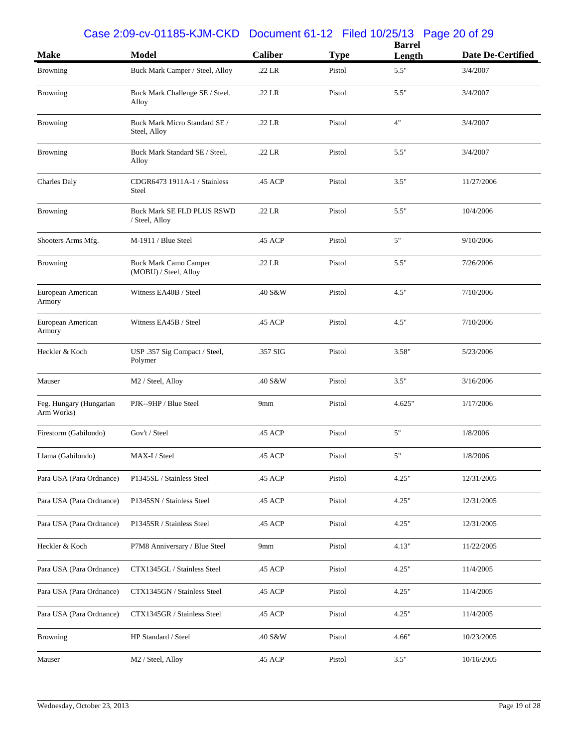#### Case 2:09-cv-01185-KJM-CKD Document 61-12 Filed 10/25/13 Page 20 of 29

|                                       |                                                |                |             | <b>Barrel</b> |                   |  |
|---------------------------------------|------------------------------------------------|----------------|-------------|---------------|-------------------|--|
| <b>Make</b>                           | <b>Model</b>                                   | <b>Caliber</b> | <b>Type</b> | Length        | Date De-Certified |  |
| <b>Browning</b>                       | Buck Mark Camper / Steel, Alloy                | .22 LR         | Pistol      | 5.5"          | 3/4/2007          |  |
| <b>Browning</b>                       | Buck Mark Challenge SE / Steel,<br>Alloy       | .22 LR         | Pistol      | 5.5"          | 3/4/2007          |  |
| <b>Browning</b>                       | Buck Mark Micro Standard SE /<br>Steel, Alloy  | .22 LR         | Pistol      | 4"            | 3/4/2007          |  |
| <b>Browning</b>                       | Buck Mark Standard SE / Steel,<br>Alloy        | .22 LR         | Pistol      | 5.5"          | 3/4/2007          |  |
| <b>Charles Daly</b>                   | CDGR6473 1911A-1 / Stainless<br>Steel          | .45 ACP        | Pistol      | 3.5"          | 11/27/2006        |  |
| <b>Browning</b>                       | Buck Mark SE FLD PLUS RSWD<br>/ Steel, Alloy   | .22 LR         | Pistol      | 5.5"          | 10/4/2006         |  |
| Shooters Arms Mfg.                    | M-1911 / Blue Steel                            | .45 ACP        | Pistol      | 5"            | 9/10/2006         |  |
| <b>Browning</b>                       | Buck Mark Camo Camper<br>(MOBU) / Steel, Alloy | .22 LR         | Pistol      | 5.5"          | 7/26/2006         |  |
| European American<br>Armory           | Witness EA40B / Steel                          | .40 S&W        | Pistol      | 4.5"          | 7/10/2006         |  |
| European American<br>Armory           | Witness EA45B / Steel                          | .45 ACP        | Pistol      | 4.5"          | 7/10/2006         |  |
| Heckler & Koch                        | USP .357 Sig Compact / Steel,<br>Polymer       | .357 SIG       | Pistol      | 3.58"         | 5/23/2006         |  |
| Mauser                                | M2 / Steel, Alloy                              | .40 S&W        | Pistol      | 3.5"          | 3/16/2006         |  |
| Feg. Hungary (Hungarian<br>Arm Works) | PJK--9HP / Blue Steel                          | 9mm            | Pistol      | 4.625"        | 1/17/2006         |  |
| Firestorm (Gabilondo)                 | Gov't / Steel                                  | .45 ACP        | Pistol      | 5"            | 1/8/2006          |  |
| Llama (Gabilondo)                     | MAX-I / Steel                                  | .45 ACP        | Pistol      | 5"            | 1/8/2006          |  |
| Para USA (Para Ordnance)              | P1345SL / Stainless Steel                      | .45 ACP        | Pistol      | 4.25"         | 12/31/2005        |  |
| Para USA (Para Ordnance)              | P1345SN / Stainless Steel                      | .45 ACP        | Pistol      | 4.25"         | 12/31/2005        |  |
| Para USA (Para Ordnance)              | P1345SR / Stainless Steel                      | .45 ACP        | Pistol      | 4.25"         | 12/31/2005        |  |
| Heckler & Koch                        | P7M8 Anniversary / Blue Steel                  | 9mm            | Pistol      | 4.13"         | 11/22/2005        |  |
| Para USA (Para Ordnance)              | CTX1345GL / Stainless Steel                    | .45 ACP        | Pistol      | 4.25"         | 11/4/2005         |  |
| Para USA (Para Ordnance)              | CTX1345GN / Stainless Steel                    | .45 ACP        | Pistol      | 4.25"         | 11/4/2005         |  |
| Para USA (Para Ordnance)              | CTX1345GR / Stainless Steel                    | .45 ACP        | Pistol      | 4.25"         | 11/4/2005         |  |
| <b>Browning</b>                       | HP Standard / Steel                            | .40 S&W        | Pistol      | 4.66"         | 10/23/2005        |  |
| Mauser                                | M2 / Steel, Alloy                              | .45 ACP        | Pistol      | 3.5"          | 10/16/2005        |  |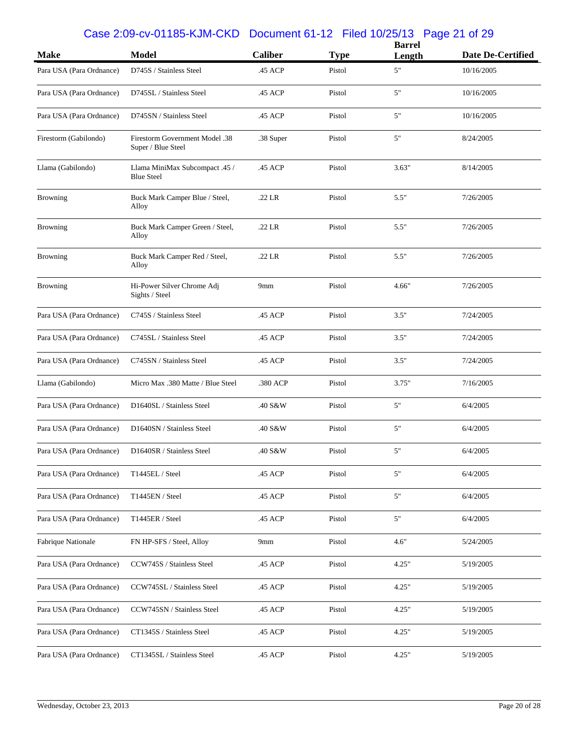## Case 2:09-cv-01185-KJM-CKD Document 61-12 Filed 10/25/13 Page 21 of 29

| <b>Make</b>              | <b>Model</b>                                         | <b>Caliber</b> | <b>Type</b> | <b>Barrel</b><br>Length | <b>Date De-Certified</b> |
|--------------------------|------------------------------------------------------|----------------|-------------|-------------------------|--------------------------|
| Para USA (Para Ordnance) | D745S / Stainless Steel                              | .45 ACP        | Pistol      | 5"                      | 10/16/2005               |
| Para USA (Para Ordnance) | D745SL / Stainless Steel                             | .45 ACP        | Pistol      | 5"                      | 10/16/2005               |
| Para USA (Para Ordnance) | D745SN / Stainless Steel                             | .45 ACP        | Pistol      | 5"                      | 10/16/2005               |
| Firestorm (Gabilondo)    | Firestorm Government Model .38<br>Super / Blue Steel | .38 Super      | Pistol      | 5"                      | 8/24/2005                |
| Llama (Gabilondo)        | Llama MiniMax Subcompact .45 /<br><b>Blue Steel</b>  | .45 ACP        | Pistol      | 3.63"                   | 8/14/2005                |
| <b>Browning</b>          | Buck Mark Camper Blue / Steel,<br>Alloy              | .22 LR         | Pistol      | 5.5"                    | 7/26/2005                |
| <b>Browning</b>          | Buck Mark Camper Green / Steel,<br>Alloy             | .22 LR         | Pistol      | 5.5"                    | 7/26/2005                |
| <b>Browning</b>          | Buck Mark Camper Red / Steel,<br>Alloy               | .22 LR         | Pistol      | 5.5"                    | 7/26/2005                |
| <b>Browning</b>          | Hi-Power Silver Chrome Adj<br>Sights / Steel         | 9mm            | Pistol      | 4.66"                   | 7/26/2005                |
| Para USA (Para Ordnance) | C745S / Stainless Steel                              | .45 ACP        | Pistol      | 3.5"                    | 7/24/2005                |
| Para USA (Para Ordnance) | C745SL / Stainless Steel                             | .45 ACP        | Pistol      | 3.5"                    | 7/24/2005                |
| Para USA (Para Ordnance) | C745SN / Stainless Steel                             | .45 ACP        | Pistol      | 3.5"                    | 7/24/2005                |
| Llama (Gabilondo)        | Micro Max .380 Matte / Blue Steel                    | .380 ACP       | Pistol      | 3.75"                   | 7/16/2005                |
| Para USA (Para Ordnance) | D1640SL / Stainless Steel                            | .40 S&W        | Pistol      | 5"                      | 6/4/2005                 |
| Para USA (Para Ordnance) | D1640SN / Stainless Steel                            | .40 S&W        | Pistol      | 5"                      | 6/4/2005                 |
| Para USA (Para Ordnance) | D1640SR / Stainless Steel                            | .40 S&W        | Pistol      | 5"                      | 6/4/2005                 |
| Para USA (Para Ordnance) | T1445EL / Steel                                      | .45 ACP        | Pistol      | 5"                      | 6/4/2005                 |
| Para USA (Para Ordnance) | T1445EN / Steel                                      | .45 ACP        | Pistol      | 5"                      | 6/4/2005                 |
| Para USA (Para Ordnance) | T1445ER / Steel                                      | .45 ACP        | Pistol      | 5"                      | 6/4/2005                 |
| Fabrique Nationale       | FN HP-SFS / Steel, Alloy                             | 9mm            | Pistol      | 4.6"                    | 5/24/2005                |
| Para USA (Para Ordnance) | CCW745S / Stainless Steel                            | .45 ACP        | Pistol      | 4.25"                   | 5/19/2005                |
| Para USA (Para Ordnance) | CCW745SL / Stainless Steel                           | .45 ACP        | Pistol      | 4.25"                   | 5/19/2005                |
| Para USA (Para Ordnance) | CCW745SN / Stainless Steel                           | .45 ACP        | Pistol      | 4.25"                   | 5/19/2005                |
| Para USA (Para Ordnance) | CT1345S / Stainless Steel                            | .45 ACP        | Pistol      | 4.25"                   | 5/19/2005                |
| Para USA (Para Ordnance) | CT1345SL / Stainless Steel                           | .45 ACP        | Pistol      | 4.25"                   | 5/19/2005                |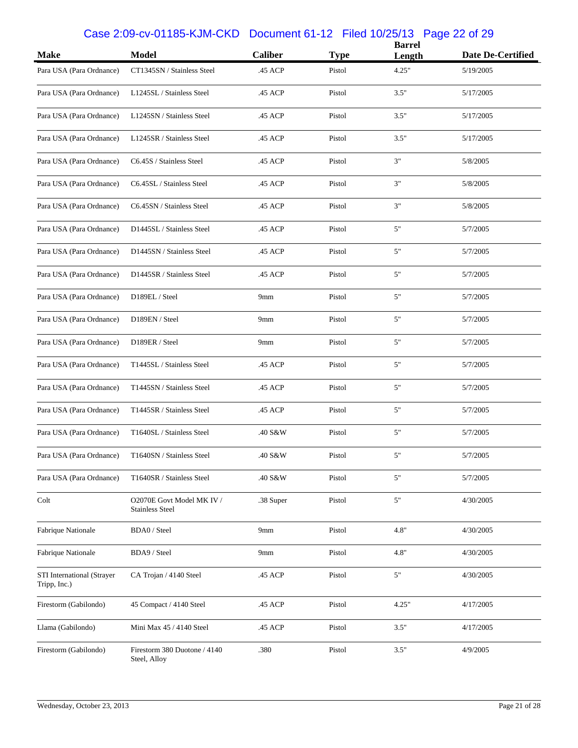## Case 2:09-cv-01185-KJM-CKD Document 61-12 Filed 10/25/13 Page 22 of 29

| <b>Make</b>                                | <b>Model</b>                                        | <b>Caliber</b> | <b>Type</b> | <b>Barrel</b><br>Length | Date De-Certified |
|--------------------------------------------|-----------------------------------------------------|----------------|-------------|-------------------------|-------------------|
| Para USA (Para Ordnance)                   | CT1345SN / Stainless Steel                          | .45 ACP        | Pistol      | 4.25"                   | 5/19/2005         |
| Para USA (Para Ordnance)                   | L1245SL / Stainless Steel                           | .45 ACP        | Pistol      | 3.5"                    | 5/17/2005         |
| Para USA (Para Ordnance)                   | L1245SN / Stainless Steel                           | .45 ACP        | Pistol      | 3.5"                    | 5/17/2005         |
| Para USA (Para Ordnance)                   | L1245SR / Stainless Steel                           | .45 ACP        | Pistol      | 3.5"                    | 5/17/2005         |
| Para USA (Para Ordnance)                   | C6.45S / Stainless Steel                            | .45 ACP        | Pistol      | 3"                      | 5/8/2005          |
| Para USA (Para Ordnance)                   | C6.45SL / Stainless Steel                           | .45 ACP        | Pistol      | 3"                      | 5/8/2005          |
| Para USA (Para Ordnance)                   | C6.45SN / Stainless Steel                           | .45 ACP        | Pistol      | 3"                      | 5/8/2005          |
| Para USA (Para Ordnance)                   | D1445SL / Stainless Steel                           | .45 ACP        | Pistol      | 5"                      | 5/7/2005          |
| Para USA (Para Ordnance)                   | D1445SN / Stainless Steel                           | .45 ACP        | Pistol      | 5"                      | 5/7/2005          |
| Para USA (Para Ordnance)                   | D1445SR / Stainless Steel                           | .45 ACP        | Pistol      | 5"                      | 5/7/2005          |
| Para USA (Para Ordnance)                   | D189EL / Steel                                      | 9mm            | Pistol      | 5"                      | 5/7/2005          |
| Para USA (Para Ordnance)                   | D189EN / Steel                                      | 9mm            | Pistol      | 5"                      | 5/7/2005          |
| Para USA (Para Ordnance)                   | D189ER / Steel                                      | 9mm            | Pistol      | 5"                      | 5/7/2005          |
| Para USA (Para Ordnance)                   | T1445SL / Stainless Steel                           | .45 ACP        | Pistol      | 5"                      | 5/7/2005          |
| Para USA (Para Ordnance)                   | T1445SN / Stainless Steel                           | .45 ACP        | Pistol      | 5"                      | 5/7/2005          |
| Para USA (Para Ordnance)                   | T1445SR / Stainless Steel                           | .45 ACP        | Pistol      | 5"                      | 5/7/2005          |
| Para USA (Para Ordnance)                   | T1640SL / Stainless Steel                           | .40 S&W        | Pistol      | 5"                      | 5/7/2005          |
| Para USA (Para Ordnance)                   | T1640SN / Stainless Steel                           | .40 S&W        | Pistol      | 5"                      | 5/7/2005          |
| Para USA (Para Ordnance)                   | T1640SR / Stainless Steel                           | .40 S&W        | Pistol      | 5"                      | 5/7/2005          |
| Colt                                       | O2070E Govt Model MK IV /<br><b>Stainless Steel</b> | .38 Super      | Pistol      | 5"                      | 4/30/2005         |
| Fabrique Nationale                         | BDA0 / Steel                                        | 9mm            | Pistol      | 4.8"                    | 4/30/2005         |
| Fabrique Nationale                         | BDA9 / Steel                                        | 9mm            | Pistol      | 4.8"                    | 4/30/2005         |
| STI International (Strayer<br>Tripp, Inc.) | CA Trojan / 4140 Steel                              | .45 ACP        | Pistol      | $5"$                    | 4/30/2005         |
| Firestorm (Gabilondo)                      | 45 Compact / 4140 Steel                             | .45 ACP        | Pistol      | 4.25"                   | 4/17/2005         |
| Llama (Gabilondo)                          | Mini Max 45 / 4140 Steel                            | .45 ACP        | Pistol      | 3.5"                    | 4/17/2005         |
| Firestorm (Gabilondo)                      | Firestorm 380 Duotone / 4140<br>Steel, Alloy        | .380           | Pistol      | 3.5"                    | 4/9/2005          |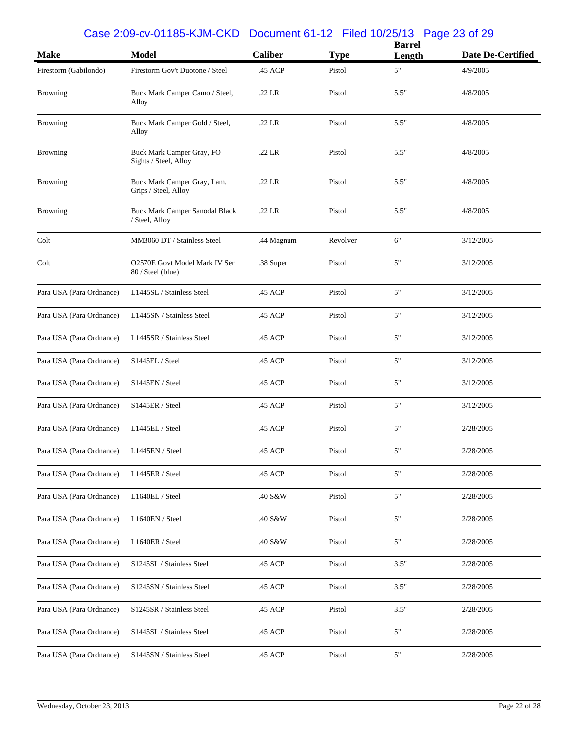### Case 2:09-cv-01185-KJM-CKD Document 61-12 Filed 10/25/13 Page 23 of 29

|                          |                                                         |                |             | <b>Barrel</b> |                   |
|--------------------------|---------------------------------------------------------|----------------|-------------|---------------|-------------------|
| <b>Make</b>              | <b>Model</b>                                            | <b>Caliber</b> | <b>Type</b> | Length        | Date De-Certified |
| Firestorm (Gabilondo)    | Firestorm Gov't Duotone / Steel                         | .45 ACP        | Pistol      | 5"            | 4/9/2005          |
| Browning                 | Buck Mark Camper Camo / Steel,<br>Alloy                 | .22 LR         | Pistol      | 5.5"          | 4/8/2005          |
| <b>Browning</b>          | Buck Mark Camper Gold / Steel,<br>Alloy                 | .22 LR         | Pistol      | 5.5"          | 4/8/2005          |
| <b>Browning</b>          | Buck Mark Camper Gray, FO<br>Sights / Steel, Alloy      | $.22$ LR       | Pistol      | 5.5"          | 4/8/2005          |
| <b>Browning</b>          | Buck Mark Camper Gray, Lam.<br>Grips / Steel, Alloy     | .22 LR         | Pistol      | 5.5"          | 4/8/2005          |
| <b>Browning</b>          | <b>Buck Mark Camper Sanodal Black</b><br>/ Steel, Alloy | $.22$ LR       | Pistol      | 5.5"          | 4/8/2005          |
| Colt                     | MM3060 DT / Stainless Steel                             | .44 Magnum     | Revolver    | 6"            | 3/12/2005         |
| Colt                     | O2570E Govt Model Mark IV Ser<br>80 / Steel (blue)      | .38 Super      | Pistol      | 5"            | 3/12/2005         |
| Para USA (Para Ordnance) | L1445SL / Stainless Steel                               | .45 ACP        | Pistol      | 5"            | 3/12/2005         |
| Para USA (Para Ordnance) | L1445SN / Stainless Steel                               | .45 ACP        | Pistol      | 5"            | 3/12/2005         |
| Para USA (Para Ordnance) | L1445SR / Stainless Steel                               | .45 ACP        | Pistol      | 5"            | 3/12/2005         |
| Para USA (Para Ordnance) | S1445EL / Steel                                         | .45 ACP        | Pistol      | 5"            | 3/12/2005         |
| Para USA (Para Ordnance) | S1445EN / Steel                                         | .45 ACP        | Pistol      | 5"            | 3/12/2005         |
| Para USA (Para Ordnance) | S1445ER / Steel                                         | .45 ACP        | Pistol      | 5"            | 3/12/2005         |
| Para USA (Para Ordnance) | L1445EL / Steel                                         | .45 ACP        | Pistol      | 5"            | 2/28/2005         |
| Para USA (Para Ordnance) | L1445EN / Steel                                         | .45 ACP        | Pistol      | 5"            | 2/28/2005         |
| Para USA (Para Ordnance) | L1445ER / Steel                                         | .45 ACP        | Pistol      | $5"$          | 2/28/2005         |
| Para USA (Para Ordnance) | L1640EL / Steel                                         | .40 S&W        | Pistol      | 5"            | 2/28/2005         |
| Para USA (Para Ordnance) | L1640EN / Steel                                         | .40 S&W        | Pistol      | $5"$          | 2/28/2005         |
| Para USA (Para Ordnance) | L1640ER / Steel                                         | .40 S&W        | Pistol      | $5"$          | 2/28/2005         |
| Para USA (Para Ordnance) | S1245SL / Stainless Steel                               | .45 ACP        | Pistol      | 3.5"          | 2/28/2005         |
| Para USA (Para Ordnance) | S1245SN / Stainless Steel                               | .45 ACP        | Pistol      | 3.5"          | 2/28/2005         |
| Para USA (Para Ordnance) | S1245SR / Stainless Steel                               | .45 ACP        | Pistol      | 3.5"          | 2/28/2005         |
| Para USA (Para Ordnance) | S1445SL / Stainless Steel                               | .45 ACP        | Pistol      | $5"$          | 2/28/2005         |
| Para USA (Para Ordnance) | S1445SN / Stainless Steel                               | .45 ACP        | Pistol      | $5"$          | 2/28/2005         |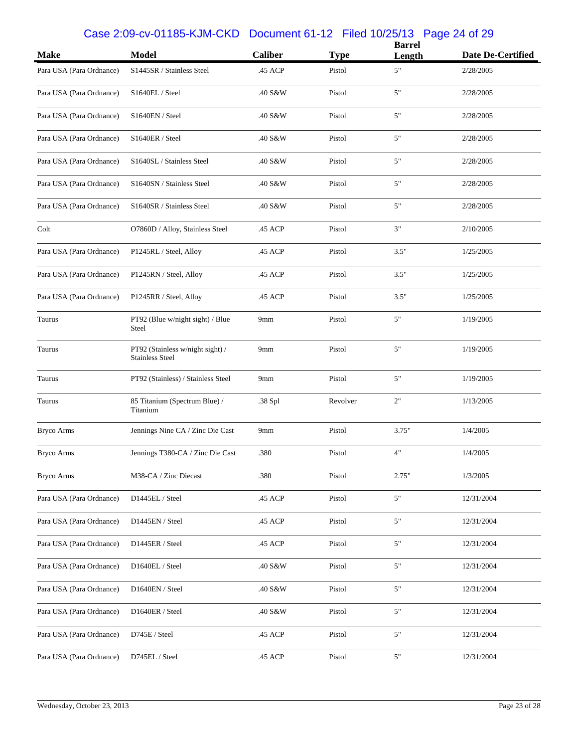## Case 2:09-cv-01185-KJM-CKD Document 61-12 Filed 10/25/13 Page 24 of 29

|                          |                                                            | <b>Caliber</b>  |             | <b>Barrel</b> |                   |
|--------------------------|------------------------------------------------------------|-----------------|-------------|---------------|-------------------|
| <b>Make</b>              | <b>Model</b>                                               |                 | <b>Type</b> | Length        | Date De-Certified |
| Para USA (Para Ordnance) | S1445SR / Stainless Steel                                  | .45 ACP         | Pistol      | $5"$          | 2/28/2005         |
| Para USA (Para Ordnance) | S1640EL / Steel                                            | .40 S&W         | Pistol      | 5"            | 2/28/2005         |
| Para USA (Para Ordnance) | S1640EN / Steel                                            | .40 S&W         | Pistol      | 5"            | 2/28/2005         |
| Para USA (Para Ordnance) | S1640ER / Steel                                            | .40 S&W         | Pistol      | 5"            | 2/28/2005         |
| Para USA (Para Ordnance) | S1640SL / Stainless Steel                                  | .40 S&W         | Pistol      | 5"            | 2/28/2005         |
| Para USA (Para Ordnance) | S1640SN / Stainless Steel                                  | .40 S&W         | Pistol      | 5"            | 2/28/2005         |
| Para USA (Para Ordnance) | S1640SR / Stainless Steel                                  | .40 S&W         | Pistol      | $5"$          | 2/28/2005         |
| Colt                     | O7860D / Alloy, Stainless Steel                            | .45 ACP         | Pistol      | 3"            | 2/10/2005         |
| Para USA (Para Ordnance) | P1245RL / Steel, Alloy                                     | .45 ACP         | Pistol      | 3.5"          | 1/25/2005         |
| Para USA (Para Ordnance) | P1245RN / Steel, Alloy                                     | .45 ACP         | Pistol      | 3.5"          | 1/25/2005         |
| Para USA (Para Ordnance) | P1245RR / Steel, Alloy                                     | .45 ACP         | Pistol      | 3.5"          | 1/25/2005         |
| Taurus                   | PT92 (Blue w/night sight) / Blue<br>Steel                  | 9 <sub>mm</sub> | Pistol      | 5"            | 1/19/2005         |
| Taurus                   | PT92 (Stainless w/night sight) /<br><b>Stainless Steel</b> | 9mm             | Pistol      | 5"            | 1/19/2005         |
| Taurus                   | PT92 (Stainless) / Stainless Steel                         | 9mm             | Pistol      | $5"$          | 1/19/2005         |
| Taurus                   | 85 Titanium (Spectrum Blue) /<br>Titanium                  | .38 Spl         | Revolver    | 2"            | 1/13/2005         |
| <b>Bryco Arms</b>        | Jennings Nine CA / Zinc Die Cast                           | 9mm             | Pistol      | 3.75"         | 1/4/2005          |
| <b>Bryco Arms</b>        | Jennings T380-CA / Zinc Die Cast                           | .380            | Pistol      | 4"            | 1/4/2005          |
| <b>Bryco Arms</b>        | M38-CA / Zinc Diecast                                      | .380            | Pistol      | 2.75"         | 1/3/2005          |
| Para USA (Para Ordnance) | D1445EL / Steel                                            | .45 ACP         | Pistol      | 5"            | 12/31/2004        |
| Para USA (Para Ordnance) | D1445EN / Steel                                            | .45 ACP         | Pistol      | 5"            | 12/31/2004        |
| Para USA (Para Ordnance) | D1445ER / Steel                                            | .45 ACP         | Pistol      | 5"            | 12/31/2004        |
| Para USA (Para Ordnance) | D1640EL / Steel                                            | .40 S&W         | Pistol      | 5"            | 12/31/2004        |
| Para USA (Para Ordnance) | D1640EN / Steel                                            | .40 S&W         | Pistol      | 5"            | 12/31/2004        |
| Para USA (Para Ordnance) | D1640ER / Steel                                            | .40 S&W         | Pistol      | 5"            | 12/31/2004        |
| Para USA (Para Ordnance) | D745E / Steel                                              | .45 ACP         | Pistol      | 5"            | 12/31/2004        |
| Para USA (Para Ordnance) | D745EL / Steel                                             | .45 ACP         | Pistol      | 5"            | 12/31/2004        |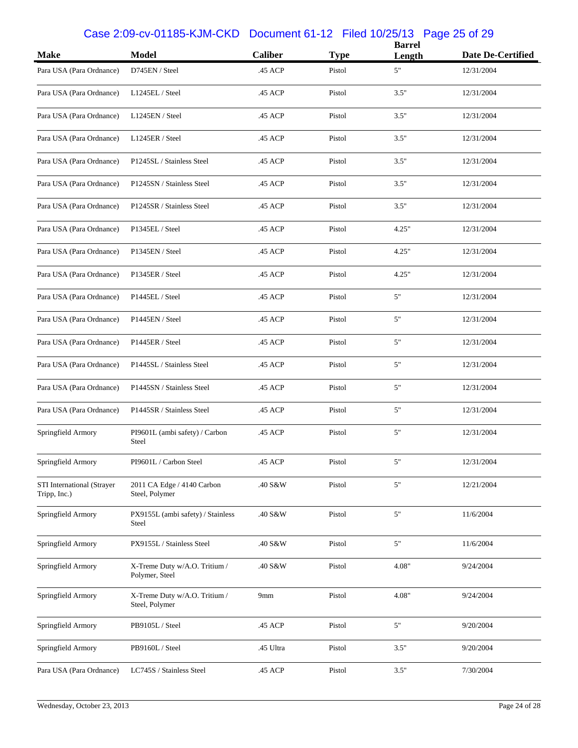## Case 2:09-cv-01185-KJM-CKD Document 61-12 Filed 10/25/13 Page 25 of 29

| <b>Make</b>                                | <b>Model</b>                                    | <b>Caliber</b> | <b>Type</b> | <b>Barrel</b><br>Length | Date De-Certified |
|--------------------------------------------|-------------------------------------------------|----------------|-------------|-------------------------|-------------------|
| Para USA (Para Ordnance)                   | D745EN / Steel                                  | .45 ACP        | Pistol      | 5"                      | 12/31/2004        |
| Para USA (Para Ordnance)                   | L1245EL / Steel                                 | .45 ACP        | Pistol      | 3.5"                    | 12/31/2004        |
| Para USA (Para Ordnance)                   | L1245EN / Steel                                 | .45 ACP        | Pistol      | 3.5"                    | 12/31/2004        |
| Para USA (Para Ordnance)                   | L1245ER / Steel                                 | .45 ACP        | Pistol      | 3.5"                    | 12/31/2004        |
| Para USA (Para Ordnance)                   | P1245SL / Stainless Steel                       | .45 ACP        | Pistol      | 3.5"                    | 12/31/2004        |
| Para USA (Para Ordnance)                   | P1245SN / Stainless Steel                       | .45 ACP        | Pistol      | 3.5"                    | 12/31/2004        |
| Para USA (Para Ordnance)                   | P1245SR / Stainless Steel                       | .45 ACP        | Pistol      | 3.5"                    | 12/31/2004        |
| Para USA (Para Ordnance)                   | P1345EL / Steel                                 | .45 ACP        | Pistol      | 4.25"                   | 12/31/2004        |
| Para USA (Para Ordnance)                   | P1345EN / Steel                                 | .45 ACP        | Pistol      | 4.25"                   | 12/31/2004        |
| Para USA (Para Ordnance)                   | P1345ER / Steel                                 | .45 ACP        | Pistol      | 4.25"                   | 12/31/2004        |
| Para USA (Para Ordnance)                   | P1445EL / Steel                                 | .45 ACP        | Pistol      | 5"                      | 12/31/2004        |
| Para USA (Para Ordnance)                   | P1445EN / Steel                                 | .45 ACP        | Pistol      | 5"                      | 12/31/2004        |
| Para USA (Para Ordnance)                   | P1445ER / Steel                                 | .45 ACP        | Pistol      | 5"                      | 12/31/2004        |
| Para USA (Para Ordnance)                   | P1445SL / Stainless Steel                       | .45 ACP        | Pistol      | 5"                      | 12/31/2004        |
| Para USA (Para Ordnance)                   | P1445SN / Stainless Steel                       | .45 ACP        | Pistol      | 5"                      | 12/31/2004        |
| Para USA (Para Ordnance)                   | P1445SR / Stainless Steel                       | .45 ACP        | Pistol      | 5"                      | 12/31/2004        |
| Springfield Armory                         | PI9601L (ambi safety) / Carbon<br><b>Steel</b>  | .45 ACP        | Pistol      | 5"                      | 12/31/2004        |
| Springfield Armory                         | PI9601L / Carbon Steel                          | .45 ACP        | Pistol      | 5"                      | 12/31/2004        |
| STI International (Strayer<br>Tripp, Inc.) | 2011 CA Edge / 4140 Carbon<br>Steel, Polymer    | .40 S&W        | Pistol      | $5"$                    | 12/21/2004        |
| Springfield Armory                         | PX9155L (ambi safety) / Stainless<br>Steel      | .40 S&W        | Pistol      | $5"$                    | 11/6/2004         |
| Springfield Armory                         | PX9155L / Stainless Steel                       | .40 S&W        | Pistol      | $5"$                    | 11/6/2004         |
| Springfield Armory                         | X-Treme Duty w/A.O. Tritium /<br>Polymer, Steel | .40 S&W        | Pistol      | 4.08"                   | 9/24/2004         |
| Springfield Armory                         | X-Treme Duty w/A.O. Tritium /<br>Steel, Polymer | 9mm            | Pistol      | 4.08"                   | 9/24/2004         |
| Springfield Armory                         | PB9105L / Steel                                 | .45 ACP        | Pistol      | 5"                      | 9/20/2004         |
| Springfield Armory                         | PB9160L / Steel                                 | .45 Ultra      | Pistol      | 3.5"                    | 9/20/2004         |
| Para USA (Para Ordnance)                   | LC745S / Stainless Steel                        | .45 ACP        | Pistol      | 3.5"                    | 7/30/2004         |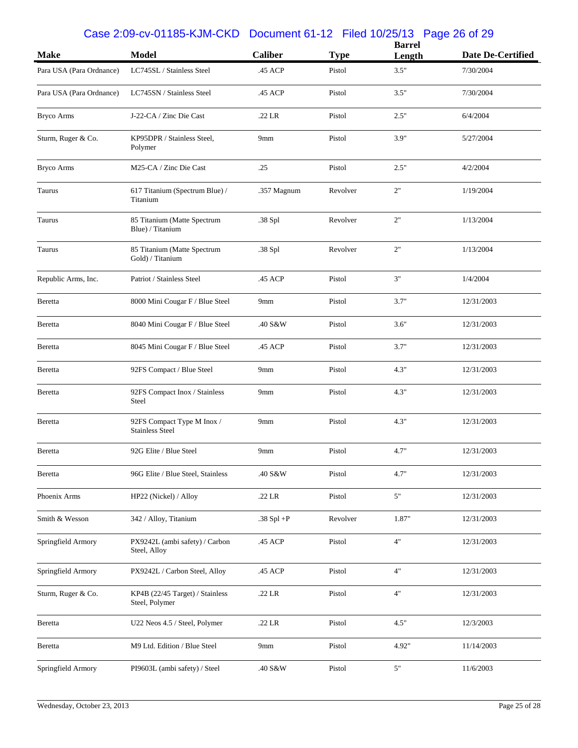## Case 2:09-cv-01185-KJM-CKD Document 61-12 Filed 10/25/13 Page 26 of 29

| <b>Make</b>              | <b>Model</b>                                         | <b>Caliber</b>       | <b>Type</b> | <b>Barrel</b> | <b>Date De-Certified</b> |
|--------------------------|------------------------------------------------------|----------------------|-------------|---------------|--------------------------|
|                          |                                                      |                      |             | Length        |                          |
| Para USA (Para Ordnance) | LC745SL / Stainless Steel                            | .45 ACP              | Pistol      | 3.5"          | 7/30/2004                |
| Para USA (Para Ordnance) | LC745SN / Stainless Steel                            | .45 ACP              | Pistol      | 3.5"          | 7/30/2004                |
| <b>Bryco Arms</b>        | J-22-CA / Zinc Die Cast                              | .22 LR               | Pistol      | 2.5"          | 6/4/2004                 |
| Sturm, Ruger & Co.       | KP95DPR / Stainless Steel,<br>Polymer                | 9mm                  | Pistol      | 3.9"          | 5/27/2004                |
| <b>Bryco Arms</b>        | M25-CA / Zinc Die Cast                               | .25                  | Pistol      | 2.5"          | 4/2/2004                 |
| Taurus                   | 617 Titanium (Spectrum Blue) /<br>Titanium           | .357 Magnum          | Revolver    | 2"            | 1/19/2004                |
| Taurus                   | 85 Titanium (Matte Spectrum<br>Blue) / Titanium      | .38 Spl              | Revolver    | 2"            | 1/13/2004                |
| Taurus                   | 85 Titanium (Matte Spectrum<br>Gold) / Titanium      | .38 Spl              | Revolver    | 2"            | 1/13/2004                |
| Republic Arms, Inc.      | Patriot / Stainless Steel                            | .45 ACP              | Pistol      | 3"            | 1/4/2004                 |
| Beretta                  | 8000 Mini Cougar F / Blue Steel                      | 9mm                  | Pistol      | 3.7"          | 12/31/2003               |
| Beretta                  | 8040 Mini Cougar F / Blue Steel                      | .40 S&W              | Pistol      | 3.6"          | 12/31/2003               |
| Beretta                  | 8045 Mini Cougar F / Blue Steel                      | .45 ACP              | Pistol      | 3.7"          | 12/31/2003               |
| Beretta                  | 92FS Compact / Blue Steel                            | 9mm                  | Pistol      | 4.3"          | 12/31/2003               |
| Beretta                  | 92FS Compact Inox / Stainless<br>Steel               | 9mm                  | Pistol      | 4.3"          | 12/31/2003               |
| Beretta                  | 92FS Compact Type M Inox /<br><b>Stainless Steel</b> | 9mm                  | Pistol      | 4.3"          | 12/31/2003               |
| Beretta                  | 92G Elite / Blue Steel                               | 9mm                  | Pistol      | 4.7"          | 12/31/2003               |
| Beretta                  | 96G Elite / Blue Steel, Stainless                    | .40 S&W              | Pistol      | 4.7"          | 12/31/2003               |
| Phoenix Arms             | HP22 (Nickel) / Alloy                                | .22 LR               | Pistol      | 5"            | 12/31/2003               |
| Smith & Wesson           | 342 / Alloy, Titanium                                | .38 $Spl + P$        | Revolver    | 1.87"         | 12/31/2003               |
| Springfield Armory       | PX9242L (ambi safety) / Carbon<br>Steel, Alloy       | .45 ACP              | Pistol      | 4"            | 12/31/2003               |
| Springfield Armory       | PX9242L / Carbon Steel, Alloy                        | .45 ACP              | Pistol      | $4"$          | 12/31/2003               |
| Sturm, Ruger & Co.       | KP4B (22/45 Target) / Stainless<br>Steel, Polymer    | .22 LR               | Pistol      | $4"$          | 12/31/2003               |
| Beretta                  | U22 Neos 4.5 / Steel, Polymer                        | .22 LR               | Pistol      | 4.5"          | 12/3/2003                |
| Beretta                  | M9 Ltd. Edition / Blue Steel                         | 9mm                  | Pistol      | 4.92"         | 11/14/2003               |
| Springfield Armory       | PI9603L (ambi safety) / Steel                        | $.40\;\mathrm{S\&W}$ | Pistol      | $5"$          | 11/6/2003                |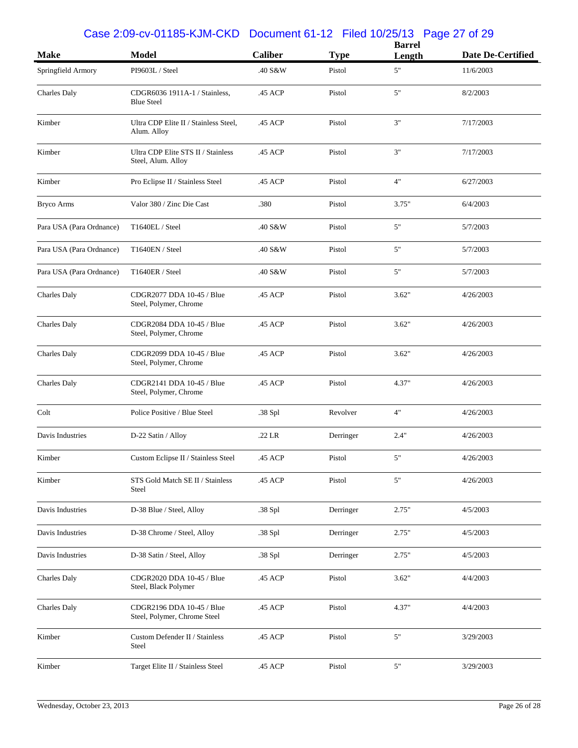### Case 2:09-cv-01185-KJM-CKD Document 61-12 Filed 10/25/13 Page 27 of 29

|                          |                                                           |                |             | <b>Barrel</b> |                   |
|--------------------------|-----------------------------------------------------------|----------------|-------------|---------------|-------------------|
| <b>Make</b>              | <b>Model</b>                                              | <b>Caliber</b> | <b>Type</b> | Length        | Date De-Certified |
| Springfield Armory       | PI9603L / Steel                                           | .40 S&W        | Pistol      | 5"            | 11/6/2003         |
| Charles Daly             | CDGR6036 1911A-1 / Stainless,<br><b>Blue Steel</b>        | .45 ACP        | Pistol      | 5"            | 8/2/2003          |
| Kimber                   | Ultra CDP Elite II / Stainless Steel,<br>Alum. Alloy      | .45 ACP        | Pistol      | 3"            | 7/17/2003         |
| Kimber                   | Ultra CDP Elite STS II / Stainless<br>Steel, Alum. Alloy  | .45 ACP        | Pistol      | 3"            | 7/17/2003         |
| Kimber                   | Pro Eclipse II / Stainless Steel                          | .45 ACP        | Pistol      | 4"            | 6/27/2003         |
| <b>Bryco Arms</b>        | Valor 380 / Zinc Die Cast                                 | .380           | Pistol      | 3.75"         | 6/4/2003          |
| Para USA (Para Ordnance) | T1640EL / Steel                                           | .40 S&W        | Pistol      | 5"            | 5/7/2003          |
| Para USA (Para Ordnance) | T1640EN / Steel                                           | .40 S&W        | Pistol      | 5"            | 5/7/2003          |
| Para USA (Para Ordnance) | T1640ER / Steel                                           | .40 S&W        | Pistol      | 5"            | 5/7/2003          |
| Charles Daly             | CDGR2077 DDA 10-45 / Blue<br>Steel, Polymer, Chrome       | .45 ACP        | Pistol      | 3.62"         | 4/26/2003         |
| <b>Charles Daly</b>      | CDGR2084 DDA 10-45 / Blue<br>Steel, Polymer, Chrome       | .45 ACP        | Pistol      | 3.62"         | 4/26/2003         |
| <b>Charles Daly</b>      | CDGR2099 DDA 10-45 / Blue<br>Steel, Polymer, Chrome       | .45 ACP        | Pistol      | 3.62"         | 4/26/2003         |
| <b>Charles Daly</b>      | CDGR2141 DDA 10-45 / Blue<br>Steel, Polymer, Chrome       | .45 ACP        | Pistol      | 4.37"         | 4/26/2003         |
| Colt                     | Police Positive / Blue Steel                              | .38 Spl        | Revolver    | 4"            | 4/26/2003         |
| Davis Industries         | D-22 Satin / Alloy                                        | .22 LR         | Derringer   | 2.4"          | 4/26/2003         |
| Kimber                   | Custom Eclipse II / Stainless Steel                       | .45 ACP        | Pistol      | 5"            | 4/26/2003         |
| Kimber                   | STS Gold Match SE II / Stainless<br>Steel                 | .45 ACP        | Pistol      | $5"$          | 4/26/2003         |
| Davis Industries         | D-38 Blue / Steel, Alloy                                  | .38 Spl        | Derringer   | 2.75"         | 4/5/2003          |
| Davis Industries         | D-38 Chrome / Steel, Alloy                                | .38 Spl        | Derringer   | 2.75"         | 4/5/2003          |
| Davis Industries         | D-38 Satin / Steel, Alloy                                 | .38 Spl        | Derringer   | 2.75"         | 4/5/2003          |
| <b>Charles Daly</b>      | CDGR2020 DDA 10-45 / Blue<br>Steel, Black Polymer         | .45 ACP        | Pistol      | 3.62"         | 4/4/2003          |
| Charles Daly             | CDGR2196 DDA 10-45 / Blue<br>Steel, Polymer, Chrome Steel | .45 ACP        | Pistol      | 4.37"         | 4/4/2003          |
| Kimber                   | Custom Defender II / Stainless<br>Steel                   | .45 ACP        | Pistol      | 5"            | 3/29/2003         |
| Kimber                   | Target Elite II / Stainless Steel                         | .45 ACP        | Pistol      | 5"            | 3/29/2003         |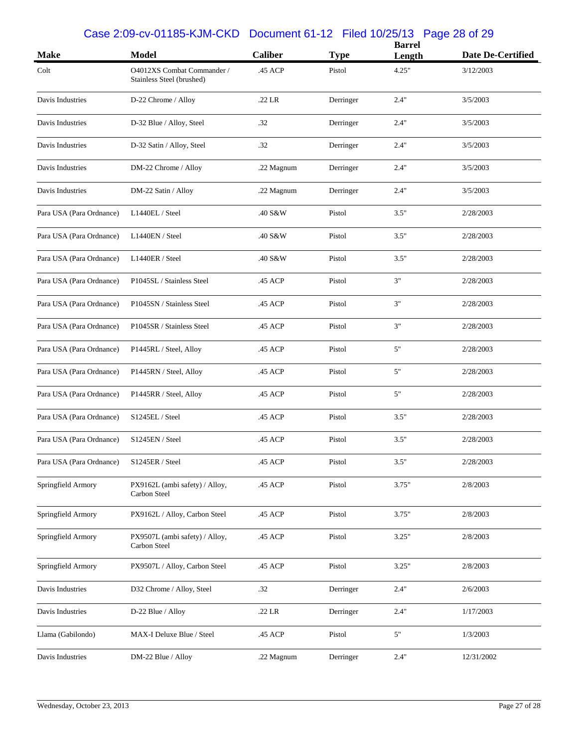## Case 2:09-cv-01185-KJM-CKD Document 61-12 Filed 10/25/13 Page 28 of 29

| <b>Make</b>              | <b>Model</b>                                            | <b>Caliber</b> | <b>Type</b> | <b>Barrel</b><br>Length | Date De-Certified |
|--------------------------|---------------------------------------------------------|----------------|-------------|-------------------------|-------------------|
| Colt                     | O4012XS Combat Commander /<br>Stainless Steel (brushed) | .45 ACP        | Pistol      | 4.25"                   | 3/12/2003         |
| Davis Industries         | D-22 Chrome / Alloy                                     | .22 LR         | Derringer   | 2.4"                    | 3/5/2003          |
| Davis Industries         | D-32 Blue / Alloy, Steel                                | .32            | Derringer   | 2.4"                    | 3/5/2003          |
| Davis Industries         | D-32 Satin / Alloy, Steel                               | .32            | Derringer   | 2.4"                    | 3/5/2003          |
| Davis Industries         | DM-22 Chrome / Alloy                                    | .22 Magnum     | Derringer   | 2.4"                    | 3/5/2003          |
| Davis Industries         | DM-22 Satin / Alloy                                     | .22 Magnum     | Derringer   | 2.4"                    | 3/5/2003          |
| Para USA (Para Ordnance) | L1440EL / Steel                                         | .40 S&W        | Pistol      | 3.5"                    | 2/28/2003         |
| Para USA (Para Ordnance) | L1440EN / Steel                                         | .40 S&W        | Pistol      | 3.5"                    | 2/28/2003         |
| Para USA (Para Ordnance) | L1440ER / Steel                                         | .40 S&W        | Pistol      | 3.5"                    | 2/28/2003         |
| Para USA (Para Ordnance) | P1045SL / Stainless Steel                               | .45 ACP        | Pistol      | 3"                      | 2/28/2003         |
| Para USA (Para Ordnance) | P1045SN / Stainless Steel                               | .45 ACP        | Pistol      | 3"                      | 2/28/2003         |
| Para USA (Para Ordnance) | P1045SR / Stainless Steel                               | .45 ACP        | Pistol      | 3"                      | 2/28/2003         |
| Para USA (Para Ordnance) | P1445RL / Steel, Alloy                                  | .45 ACP        | Pistol      | 5"                      | 2/28/2003         |
| Para USA (Para Ordnance) | P1445RN / Steel, Alloy                                  | .45 ACP        | Pistol      | 5"                      | 2/28/2003         |
| Para USA (Para Ordnance) | P1445RR / Steel, Alloy                                  | .45 ACP        | Pistol      | 5"                      | 2/28/2003         |
| Para USA (Para Ordnance) | S1245EL / Steel                                         | .45 ACP        | Pistol      | 3.5"                    | 2/28/2003         |
| Para USA (Para Ordnance) | S1245EN / Steel                                         | .45 ACP        | Pistol      | 3.5"                    | 2/28/2003         |
| Para USA (Para Ordnance) | S1245ER / Steel                                         | .45 ACP        | Pistol      | 3.5"                    | 2/28/2003         |
| Springfield Armory       | PX9162L (ambi safety) / Alloy,<br>Carbon Steel          | .45 ACP        | Pistol      | 3.75"                   | 2/8/2003          |
| Springfield Armory       | PX9162L / Alloy, Carbon Steel                           | .45 ACP        | Pistol      | 3.75"                   | 2/8/2003          |
| Springfield Armory       | PX9507L (ambi safety) / Alloy,<br>Carbon Steel          | .45 ACP        | Pistol      | 3.25"                   | 2/8/2003          |
| Springfield Armory       | PX9507L / Alloy, Carbon Steel                           | .45 ACP        | Pistol      | 3.25"                   | 2/8/2003          |
| Davis Industries         | D32 Chrome / Alloy, Steel                               | .32            | Derringer   | 2.4"                    | 2/6/2003          |
| Davis Industries         | D-22 Blue / Alloy                                       | .22 LR         | Derringer   | 2.4"                    | 1/17/2003         |
| Llama (Gabilondo)        | MAX-I Deluxe Blue / Steel                               | $.45$ ACP $\,$ | Pistol      | $5"$                    | 1/3/2003          |
| Davis Industries         | DM-22 Blue / Alloy                                      | .22 Magnum     | Derringer   | 2.4"                    | 12/31/2002        |